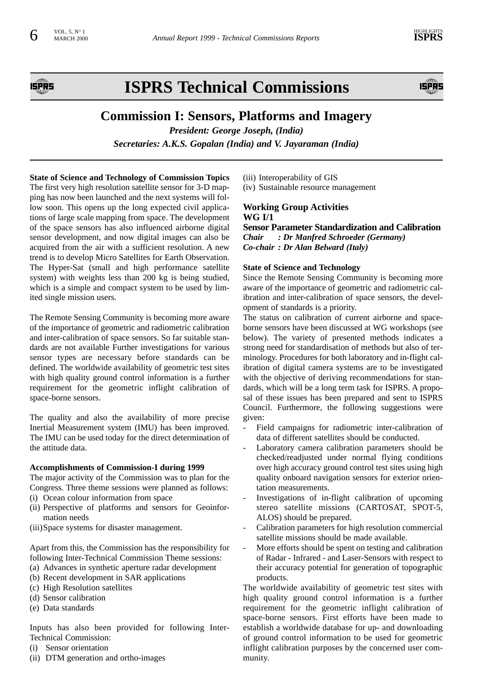

# **ISPRS Technical Commissions**



# **Commission I: Sensors, Platforms and Imagery**

*President: George Joseph, (India) Secretaries: A.K.S. Gopalan (India) and V. Jayaraman (India)*

**State of Science and Technology of Commission Topics**  The first very high resolution satellite sensor for 3-D mapping has now been launched and the next systems will follow soon. This opens up the long expected civil applications of large scale mapping from space. The development of the space sensors has also influenced airborne digital sensor development, and now digital images can also be acquired from the air with a sufficient resolution. A new trend is to develop Micro Satellites for Earth Observation. The Hyper-Sat (small and high performance satellite system) with weights less than 200 kg is being studied, which is a simple and compact system to be used by limited single mission users.

The Remote Sensing Community is becoming more aware of the importance of geometric and radiometric calibration and inter-calibration of space sensors. So far suitable standards are not available Further investigations for various sensor types are necessary before standards can be defined. The worldwide availability of geometric test sites with high quality ground control information is a further requirement for the geometric inflight calibration of space-borne sensors.

The quality and also the availability of more precise Inertial Measurement system (IMU) has been improved. The IMU can be used today for the direct determination of the attitude data.

#### **Accomplishments of Commission-I during 1999**

The major activity of the Commission was to plan for the Congress. Three theme sessions were planned as follows:

- (i) Ocean colour information from space
- (ii) Perspective of platforms and sensors for Geoinformation needs
- (iii)Space systems for disaster management.

Apart from this, the Commission has the responsibility for following Inter-Technical Commission Theme sessions:

- (a) Advances in synthetic aperture radar development
- (b) Recent development in SAR applications
- (c) High Resolution satellites
- (d) Sensor calibration
- (e) Data standards

Inputs has also been provided for following Inter-Technical Commission:

- (i) Sensor orientation
- (ii) DTM generation and ortho-images

(iii) Interoperability of GIS (iv) Sustainable resource management

# **Working Group Activities WG I/1**

**Sensor Parameter Standardization and Calibration**  *Chair : Dr Manfred Schroeder (Germany) Co-chair : Dr Alan Belward (Italy)*

### **State of Science and Technology**

Since the Remote Sensing Community is becoming more aware of the importance of geometric and radiometric calibration and inter-calibration of space sensors, the development of standards is a priority.

The status on calibration of current airborne and spaceborne sensors have been discussed at WG workshops (see below). The variety of presented methods indicates a strong need for standardisation of methods but also of terminology. Procedures for both laboratory and in-flight calibration of digital camera systems are to be investigated with the objective of deriving recommendations for standards, which will be a long term task for ISPRS. A proposal of these issues has been prepared and sent to ISPRS Council. Furthermore, the following suggestions were given:

- Field campaigns for radiometric inter-calibration of data of different satellites should be conducted.
- Laboratory camera calibration parameters should be checked/readjusted under normal flying conditions over high accuracy ground control test sites using high quality onboard navigation sensors for exterior orientation measurements.
- Investigations of in-flight calibration of upcoming stereo satellite missions (CARTOSAT, SPOT-5, ALOS) should be prepared.
- Calibration parameters for high resolution commercial satellite missions should be made available.
- More efforts should be spent on testing and calibration of Radar - Infrared - and Laser-Sensors with respect to their accuracy potential for generation of topographic products.

The worldwide availability of geometric test sites with high quality ground control information is a further requirement for the geometric inflight calibration of space-borne sensors. First efforts have been made to establish a worldwide database for up- and downloading of ground control information to be used for geometric inflight calibration purposes by the concerned user community.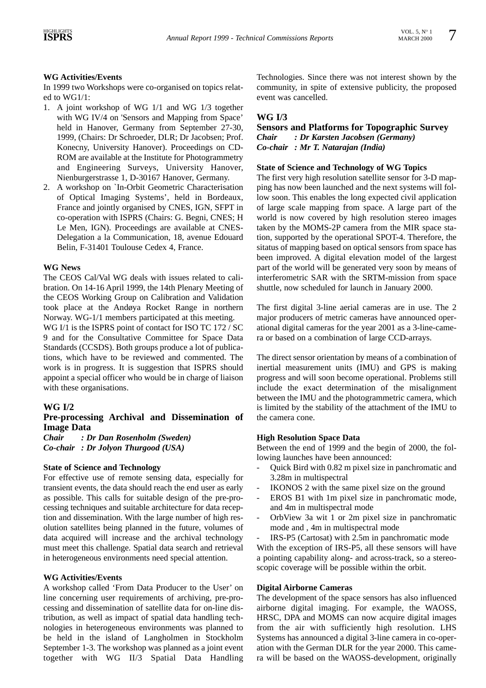# **WG Activities/Events**

In 1999 two Workshops were co-organised on topics related to WG1/1:

- 1. A joint workshop of WG 1/1 and WG 1/3 together with WG IV/4 on 'Sensors and Mapping from Space' held in Hanover, Germany from September 27-30, 1999, (Chairs: Dr Schroeder, DLR; Dr Jacobsen; Prof. Konecny, University Hanover). Proceedings on CD-ROM are available at the Institute for Photogrammetry and Engineering Surveys, University Hanover, Nienburgerstrasse 1, D-30167 Hanover, Germany.
- 2. A workshop on `In-Orbit Geometric Characterisation of Optical Imaging Systems', held in Bordeaux, France and jointly organised by CNES, IGN, SFPT in co-operation with ISPRS (Chairs: G. Begni, CNES; H Le Men, IGN). Proceedings are available at CNES-Delegation a la Communication, 18, avenue Edouard Belin, F-31401 Toulouse Cedex 4, France.

#### **WG News**

The CEOS Cal/Val WG deals with issues related to calibration. On 14-16 April 1999, the 14th Plenary Meeting of the CEOS Working Group on Calibration and Validation took place at the Andøya Rocket Range in northern Norway. WG-1/1 members participated at this meeting.

WG I/1 is the ISPRS point of contact for ISO TC 172 / SC 9 and for the Consultative Committee for Space Data Standards (CCSDS). Both groups produce a lot of publications, which have to be reviewed and commented. The work is in progress. It is suggestion that ISPRS should appoint a special officer who would be in charge of liaison with these organisations.

# **WG I/2**

# **Pre-processing Archival and Dissemination of Image Data**

*Chair : Dr Dan Rosenholm (Sweden) Co-chair : Dr Jolyon Thurgood (USA)*

#### **State of Science and Technology**

For effective use of remote sensing data, especially for transient events, the data should reach the end user as early as possible. This calls for suitable design of the pre-processing techniques and suitable architecture for data reception and dissemination. With the large number of high resolution satellites being planned in the future, volumes of data acquired will increase and the archival technology must meet this challenge. Spatial data search and retrieval in heterogeneous environments need special attention.

#### **WG Activities/Events**

A workshop called 'From Data Producer to the User' on line concerning user requirements of archiving, pre-processing and dissemination of satellite data for on-line distribution, as well as impact of spatial data handling technologies in heterogeneous environments was planned to be held in the island of Langholmen in Stockholm September 1-3. The workshop was planned as a joint event together with WG II/3 Spatial Data Handling Technologies. Since there was not interest shown by the community, in spite of extensive publicity, the proposed event was cancelled.

# **WG I/3**

### **Sensors and Platforms for Topographic Survey**  *Chair : Dr Karsten Jacobsen (Germany) Co-chair : Mr T. Natarajan (India)*

#### **State of Science and Technology of WG Topics**

The first very high resolution satellite sensor for 3-D mapping has now been launched and the next systems will follow soon. This enables the long expected civil application of large scale mapping from space. A large part of the world is now covered by high resolution stereo images taken by the MOMS-2P camera from the MIR space station, supported by the operational SPOT-4. Therefore, the sitatus of mapping based on optical sensors from space has been improved. A digital elevation model of the largest part of the world will be generated very soon by means of interferometric SAR with the SRTM-mission from space shuttle, now scheduled for launch in January 2000.

The first digital 3-line aerial cameras are in use. The 2 major producers of metric cameras have announced operational digital cameras for the year 2001 as a 3-line-camera or based on a combination of large CCD-arrays.

The direct sensor orientation by means of a combination of inertial measurement units (IMU) and GPS is making progress and will soon become operational. Problems still include the exact determination of the misalignment between the IMU and the photogrammetric camera, which is limited by the stability of the attachment of the IMU to the camera cone.

#### **High Resolution Space Data**

Between the end of 1999 and the begin of 2000, the following launches have been announced:

- Quick Bird with 0.82 m pixel size in panchromatic and 3.28m in multispectral
- IKONOS 2 with the same pixel size on the ground
- EROS B1 with 1m pixel size in panchromatic mode, and 4m in multispectral mode
- OrbView 3a wit 1 or 2m pixel size in panchromatic mode and , 4m in multispectral mode
- IRS-P5 (Cartosat) with 2.5m in panchromatic mode

With the exception of IRS-P5, all these sensors will have a pointing capability along- and across-track, so a stereoscopic coverage will be possible within the orbit.

#### **Digital Airborne Cameras**

The development of the space sensors has also influenced airborne digital imaging. For example, the WAOSS, HRSC, DPA and MOMS can now acquire digital images from the air with sufficiently high resolution. LHS Systems has announced a digital 3-line camera in co-operation with the German DLR for the year 2000. This camera will be based on the WAOSS-development, originally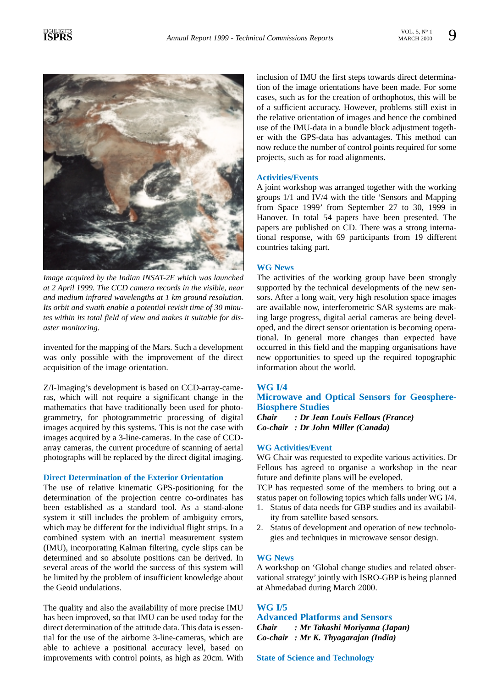

*Image acquired by the Indian INSAT-2E which was launched at 2 April 1999. The CCD camera records in the visible, near and medium infrared wavelengths at 1 km ground resolution. Its orbit and swath enable a potential revisit time of 30 minutes within its total field of view and makes it suitable for disaster monitoring.*

invented for the mapping of the Mars. Such a development was only possible with the improvement of the direct acquisition of the image orientation.

Z/I-Imaging's development is based on CCD-array-cameras, which will not require a significant change in the mathematics that have traditionally been used for photogrammetry, for photogrammetric processing of digital images acquired by this systems. This is not the case with images acquired by a 3-line-cameras. In the case of CCDarray cameras, the current procedure of scanning of aerial photographs will be replaced by the direct digital imaging.

### **Direct Determination of the Exterior Orientation**

The use of relative kinematic GPS-positioning for the determination of the projection centre co-ordinates has been established as a standard tool. As a stand-alone system it still includes the problem of ambiguity errors, which may be different for the individual flight strips. In a combined system with an inertial measurement system (IMU), incorporating Kalman filtering, cycle slips can be determined and so absolute positions can be derived. In several areas of the world the success of this system will be limited by the problem of insufficient knowledge about the Geoid undulations.

The quality and also the availability of more precise IMU has been improved, so that IMU can be used today for the direct determination of the attitude data. This data is essential for the use of the airborne 3-line-cameras, which are able to achieve a positional accuracy level, based on improvements with control points, as high as 20cm. With inclusion of IMU the first steps towards direct determination of the image orientations have been made. For some cases, such as for the creation of orthophotos, this will be of a sufficient accuracy. However, problems still exist in the relative orientation of images and hence the combined use of the IMU-data in a bundle block adjustment together with the GPS-data has advantages. This method can now reduce the number of control points required for some projects, such as for road alignments.

#### **Activities/Events**

A joint workshop was arranged together with the working groups 1/1 and IV/4 with the title 'Sensors and Mapping from Space 1999' from September 27 to 30, 1999 in Hanover. In total 54 papers have been presented. The papers are published on CD. There was a strong international response, with 69 participants from 19 different countries taking part.

# **WG News**

The activities of the working group have been strongly supported by the technical developments of the new sensors. After a long wait, very high resolution space images are available now, interferometric SAR systems are making large progress, digital aerial cameras are being developed, and the direct sensor orientation is becoming operational. In general more changes than expected have occurred in this field and the mapping organisations have new opportunities to speed up the required topographic information about the world.

#### **WG I/4**

# **Microwave and Optical Sensors for Geosphere-Biosphere Studies**

*Chair : Dr Jean Louis Fellous (France) Co-chair : Dr John Miller (Canada)* 

#### **WG Activities/Event**

WG Chair was requested to expedite various activities. Dr Fellous has agreed to organise a workshop in the near future and definite plans will be eveloped.

TCP has requested some of the members to bring out a status paper on following topics which falls under WG I/4.

- 1. Status of data needs for GBP studies and its availability from satellite based sensors.
- 2. Status of development and operation of new technologies and techniques in microwave sensor design.

#### **WG News**

A workshop on 'Global change studies and related observational strategy' jointly with ISRO-GBP is being planned at Ahmedabad during March 2000.

# **WG I/5**

**Advanced Platforms and Sensors**  *Chair : Mr Takashi Moriyama (Japan) Co-chair : Mr K. Thyagarajan (India)* 

#### **State of Science and Technology**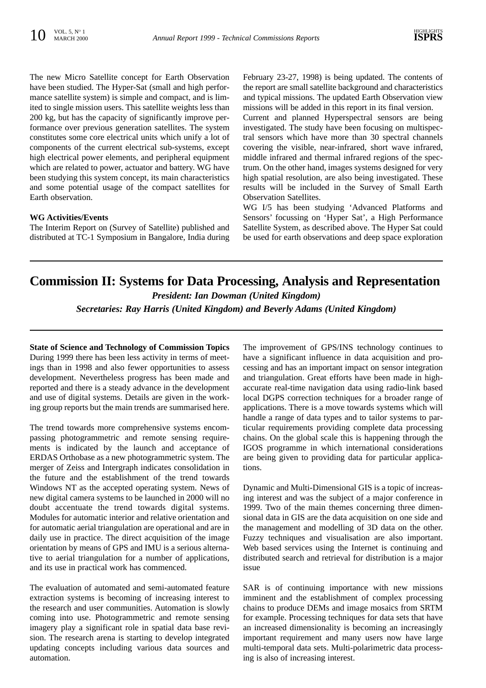The new Micro Satellite concept for Earth Observation have been studied. The Hyper-Sat (small and high performance satellite system) is simple and compact, and is limited to single mission users. This satellite weights less than 200 kg, but has the capacity of significantly improve performance over previous generation satellites. The system constitutes some core electrical units which unify a lot of components of the current electrical sub-systems, except high electrical power elements, and peripheral equipment which are related to power, actuator and battery. WG have been studying this system concept, its main characteristics and some potential usage of the compact satellites for Earth observation.

#### **WG Activities/Events**

The Interim Report on (Survey of Satellite) published and distributed at TC-1 Symposium in Bangalore, India during February 23-27, 1998) is being updated. The contents of the report are small satellite background and characteristics and typical missions. The updated Earth Observation view missions will be added in this report in its final version.

Current and planned Hyperspectral sensors are being investigated. The study have been focusing on multispectral sensors which have more than 30 spectral channels covering the visible, near-infrared, short wave infrared, middle infrared and thermal infrared regions of the spectrum. On the other hand, images systems designed for very high spatial resolution, are also being investigated. These results will be included in the Survey of Small Earth Observation Satellites.

WG I/5 has been studying 'Advanced Platforms and Sensors' focussing on 'Hyper Sat', a High Performance Satellite System, as described above. The Hyper Sat could be used for earth observations and deep space exploration

# **Commission II: Systems for Data Processing, Analysis and Representation**

*President: Ian Dowman (United Kingdom)*

*Secretaries: Ray Harris (United Kingdom) and Beverly Adams (United Kingdom)*

**State of Science and Technology of Commission Topics** During 1999 there has been less activity in terms of meetings than in 1998 and also fewer opportunities to assess development. Nevertheless progress has been made and reported and there is a steady advance in the development and use of digital systems. Details are given in the working group reports but the main trends are summarised here.

The trend towards more comprehensive systems encompassing photogrammetric and remote sensing requirements is indicated by the launch and acceptance of ERDAS Orthobase as a new photogrammetric system. The merger of Zeiss and Intergraph indicates consolidation in the future and the establishment of the trend towards Windows NT as the accepted operating system. News of new digital camera systems to be launched in 2000 will no doubt accentuate the trend towards digital systems. Modules for automatic interior and relative orientation and for automatic aerial triangulation are operational and are in daily use in practice. The direct acquisition of the image orientation by means of GPS and IMU is a serious alternative to aerial triangulation for a number of applications, and its use in practical work has commenced.

The evaluation of automated and semi-automated feature extraction systems is becoming of increasing interest to the research and user communities. Automation is slowly coming into use. Photogrammetric and remote sensing imagery play a significant role in spatial data base revision. The research arena is starting to develop integrated updating concepts including various data sources and automation.

The improvement of GPS/INS technology continues to have a significant influence in data acquisition and processing and has an important impact on sensor integration and triangulation. Great efforts have been made in highaccurate real-time navigation data using radio-link based local DGPS correction techniques for a broader range of applications. There is a move towards systems which will handle a range of data types and to tailor systems to particular requirements providing complete data processing chains. On the global scale this is happening through the IGOS programme in which international considerations are being given to providing data for particular applications.

Dynamic and Multi-Dimensional GIS is a topic of increasing interest and was the subject of a major conference in 1999. Two of the main themes concerning three dimensional data in GIS are the data acquisition on one side and the management and modelling of 3D data on the other. Fuzzy techniques and visualisation are also important. Web based services using the Internet is continuing and distributed search and retrieval for distribution is a major issue

SAR is of continuing importance with new missions imminent and the establishment of complex processing chains to produce DEMs and image mosaics from SRTM for example. Processing techniques for data sets that have an increased dimensionality is becoming an increasingly important requirement and many users now have large multi-temporal data sets. Multi-polarimetric data processing is also of increasing interest.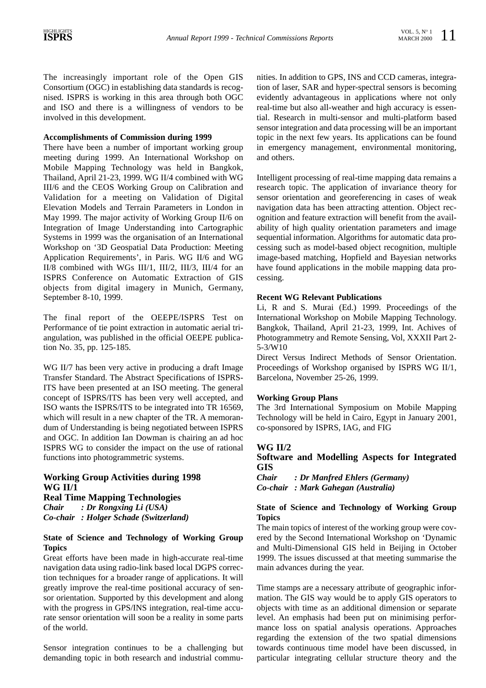The increasingly important role of the Open GIS Consortium (OGC) in establishing data standards is recognised. ISPRS is working in this area through both OGC and ISO and there is a willingness of vendors to be involved in this development.

# **Accomplishments of Commission during 1999**

There have been a number of important working group meeting during 1999. An International Workshop on Mobile Mapping Technology was held in Bangkok, Thailand, April 21-23, 1999. WG II/4 combined with WG III/6 and the CEOS Working Group on Calibration and Validation for a meeting on Validation of Digital Elevation Models and Terrain Parameters in London in May 1999. The major activity of Working Group II/6 on Integration of Image Understanding into Cartographic Systems in 1999 was the organisation of an International Workshop on '3D Geospatial Data Production: Meeting Application Requirements', in Paris. WG II/6 and WG II/8 combined with WGs III/1, III/2, III/3, III/4 for an ISPRS Conference on Automatic Extraction of GIS objects from digital imagery in Munich, Germany, September 8-10, 1999.

The final report of the OEEPE/ISPRS Test on Performance of tie point extraction in automatic aerial triangulation, was published in the official OEEPE publication No. 35, pp. 125-185.

WG II/7 has been very active in producing a draft Image Transfer Standard. The Abstract Specifications of ISPRS-ITS have been presented at an ISO meeting. The general concept of ISPRS/ITS has been very well accepted, and ISO wants the ISPRS/ITS to be integrated into TR 16569, which will result in a new chapter of the TR. A memorandum of Understanding is being negotiated between ISPRS and OGC. In addition Ian Dowman is chairing an ad hoc ISPRS WG to consider the impact on the use of rational functions into photogrammetric systems.

# **Working Group Activities during 1998 WG II/1**

**Real Time Mapping Technologies** *Chair : Dr Rongxing Li (USA) Co-chair : Holger Schade (Switzerland)*

# **State of Science and Technology of Working Group Topics**

Great efforts have been made in high-accurate real-time navigation data using radio-link based local DGPS correction techniques for a broader range of applications. It will greatly improve the real-time positional accuracy of sensor orientation. Supported by this development and along with the progress in GPS/INS integration, real-time accurate sensor orientation will soon be a reality in some parts of the world.

Sensor integration continues to be a challenging but demanding topic in both research and industrial communities. In addition to GPS, INS and CCD cameras, integration of laser, SAR and hyper-spectral sensors is becoming evidently advantageous in applications where not only real-time but also all-weather and high accuracy is essential. Research in multi-sensor and multi-platform based sensor integration and data processing will be an important topic in the next few years. Its applications can be found in emergency management, environmental monitoring, and others.

Intelligent processing of real-time mapping data remains a research topic. The application of invariance theory for sensor orientation and georeferencing in cases of weak navigation data has been attracting attention. Object recognition and feature extraction will benefit from the availability of high quality orientation parameters and image sequential information. Algorithms for automatic data processing such as model-based object recognition, multiple image-based matching, Hopfield and Bayesian networks have found applications in the mobile mapping data processing.

# **Recent WG Relevant Publications**

Li, R and S. Murai (Ed.) 1999. Proceedings of the International Workshop on Mobile Mapping Technology. Bangkok, Thailand, April 21-23, 1999, Int. Achives of Photogrammetry and Remote Sensing, Vol, XXXII Part 2- 5-3/W10

Direct Versus Indirect Methods of Sensor Orientation. Proceedings of Workshop organised by ISPRS WG II/1, Barcelona, November 25-26, 1999.

# **Working Group Plans**

The 3rd International Symposium on Mobile Mapping Technology will be held in Cairo, Egypt in January 2001, co-sponsored by ISPRS, IAG, and FIG

# **WG II/2**

# **Software and Modelling Aspects for Integrated GIS**

*Chair : Dr Manfred Ehlers (Germany) Co-chair : Mark Gahegan (Australia)*

# **State of Science and Technology of Working Group Topics**

The main topics of interest of the working group were covered by the Second International Workshop on 'Dynamic and Multi-Dimensional GIS held in Beijing in October 1999. The issues discussed at that meeting summarise the main advances during the year.

Time stamps are a necessary attribute of geographic information. The GIS way would be to apply GIS operators to objects with time as an additional dimension or separate level. An emphasis had been put on minimising performance loss on spatial analysis operations. Approaches regarding the extension of the two spatial dimensions towards continuous time model have been discussed, in particular integrating cellular structure theory and the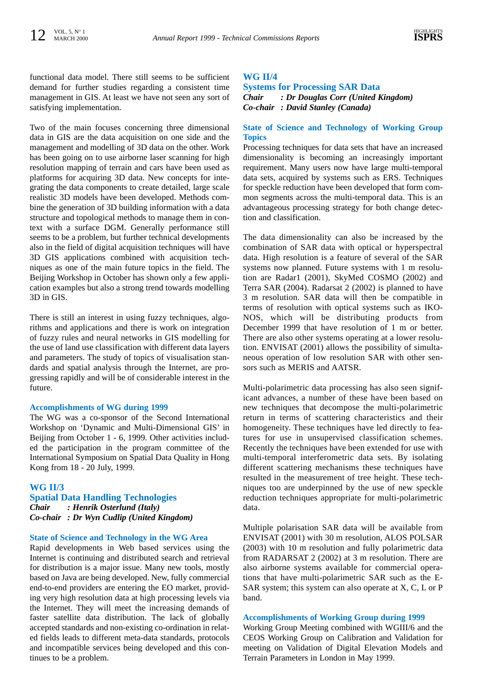functional data model. There still seems to be sufficient demand for further studies regarding a consistent time management in GIS. At least we have not seen any sort of satisfying implementation.

Two of the main focuses concerning three dimensional data in GIS are the data acquisition on one side and the management and modelling of 3D data on the other. Work has been going on to use airborne laser scanning for high resolution mapping of terrain and cars have been used as platforms for acquiring 3D data. New concepts for integrating the data components to create detailed, large scale realistic 3D models have been developed. Methods combine the generation of 3D building information with a data structure and topological methods to manage them in context with a surface DGM. Generally performance still seems to be a problem, but further technical developments also in the field of digital acquisition techniques will have 3D GIS applications combined with acquisition techniques as one of the main future topics in the field. The Beijing Workshop in October has shown only a few application examples but also a strong trend towards modelling 3D in GIS.

There is still an interest in using fuzzy techniques, algorithms and applications and there is work on integration of fuzzy rules and neural networks in GIS modelling for the use of land use classification with different data layers and parameters. The study of topics of visualisation standards and spatial analysis through the Internet, are progressing rapidly and will be of considerable interest in the future.

#### **Accomplishments of WG during 1999**

The WG was a co-sponsor of the Second International Workshop on 'Dynamic and Multi-Dimensional GIS' in Beijing from October 1 - 6, 1999. Other activities included the participation in the program committee of the International Symposium on Spatial Data Quality in Hong Kong from 18 - 20 July, 1999.

#### **WG II/3**

# **Spatial Data Handling Technologies** *Chair : Henrik Osterlund (Italy) Co-chair : Dr Wyn Cudlip (United Kingdom)*

#### **State of Science and Technology in the WG Area**

Rapid developments in Web based services using the Internet is continuing and distributed search and retrieval for distribution is a major issue. Many new tools, mostly based on Java are being developed. New, fully commercial end-to-end providers are entering the EO market, providing very high resolution data at high processing levels via the Internet. They will meet the increasing demands of faster satellite data distribution. The lack of globally accepted standards and non-existing co-ordination in related fields leads to different meta-data standards, protocols and incompatible services being developed and this continues to be a problem.

#### **WG II/4**

**Systems for Processing SAR Data** *Chair : Dr Douglas Corr (United Kingdom) Co-chair : David Stanley (Canada)*

#### **State of Science and Technology of Working Group Topics**

Processing techniques for data sets that have an increased dimensionality is becoming an increasingly important requirement. Many users now have large multi-temporal data sets, acquired by systems such as ERS. Techniques for speckle reduction have been developed that form common segments across the multi-temporal data. This is an advantageous processing strategy for both change detection and classification.

The data dimensionality can also be increased by the combination of SAR data with optical or hyperspectral data. High resolution is a feature of several of the SAR systems now planned. Future systems with 1 m resolution are Radar1 (2001), SkyMed COSMO (2002) and Terra SAR (2004). Radarsat 2 (2002) is planned to have 3 m resolution. SAR data will then be compatible in terms of resolution with optical systems such as IKO-NOS, which will be distributing products from December 1999 that have resolution of 1 m or better. There are also other systems operating at a lower resolution. ENVISAT (2001) allows the possibility of simultaneous operation of low resolution SAR with other sensors such as MERIS and AATSR.

Multi-polarimetric data processing has also seen significant advances, a number of these have been based on new techniques that decompose the multi-polarimetric return in terms of scattering characteristics and their homogeneity. These techniques have led directly to features for use in unsupervised classification schemes. Recently the techniques have been extended for use with multi-temporal interferometric data sets. By isolating different scattering mechanisms these techniques have resulted in the measurement of tree height. These techniques too are underpinned by the use of new speckle reduction techniques appropriate for multi-polarimetric data.

Multiple polarisation SAR data will be available from ENVISAT (2001) with 30 m resolution, ALOS POLSAR (2003) with 10 m resolution and fully polarimetric data from RADARSAT 2 (2002) at 3 m resolution. There are also airborne systems available for commercial operations that have multi-polarimetric SAR such as the E-SAR system; this system can also operate at X, C, L or P band.

#### **Accomplishments of Working Group during 1999**

Working Group Meeting combined with WGIII/6 and the CEOS Working Group on Calibration and Validation for meeting on Validation of Digital Elevation Models and Terrain Parameters in London in May 1999.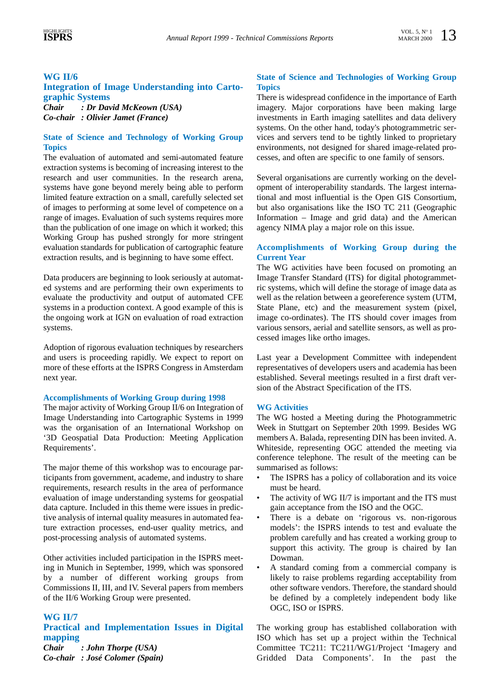# **WG II/6**

### **Integration of Image Understanding into Cartographic Systems** *Chair : Dr David McKeown (USA)*

*Co-chair : Olivier Jamet (France)*

# **State of Science and Technology of Working Group Topics**

The evaluation of automated and semi-automated feature extraction systems is becoming of increasing interest to the research and user communities. In the research arena, systems have gone beyond merely being able to perform limited feature extraction on a small, carefully selected set of images to performing at some level of competence on a range of images. Evaluation of such systems requires more than the publication of one image on which it worked; this Working Group has pushed strongly for more stringent evaluation standards for publication of cartographic feature extraction results, and is beginning to have some effect.

Data producers are beginning to look seriously at automated systems and are performing their own experiments to evaluate the productivity and output of automated CFE systems in a production context. A good example of this is the ongoing work at IGN on evaluation of road extraction systems.

Adoption of rigorous evaluation techniques by researchers and users is proceeding rapidly. We expect to report on more of these efforts at the ISPRS Congress in Amsterdam next year.

#### **Accomplishments of Working Group during 1998**

The major activity of Working Group II/6 on Integration of Image Understanding into Cartographic Systems in 1999 was the organisation of an International Workshop on '3D Geospatial Data Production: Meeting Application Requirements'.

The major theme of this workshop was to encourage participants from government, academe, and industry to share requirements, research results in the area of performance evaluation of image understanding systems for geospatial data capture. Included in this theme were issues in predictive analysis of internal quality measures in automated feature extraction processes, end-user quality metrics, and post-processing analysis of automated systems.

Other activities included participation in the ISPRS meeting in Munich in September, 1999, which was sponsored by a number of different working groups from Commissions II, III, and IV. Several papers from members of the II/6 Working Group were presented.

# **WG II/7**

**Practical and Implementation Issues in Digital mapping** *Chair : John Thorpe (USA) Co-chair : José Colomer (Spain)*

# **State of Science and Technologies of Working Group Topics**

There is widespread confidence in the importance of Earth imagery. Major corporations have been making large investments in Earth imaging satellites and data delivery systems. On the other hand, today's photogrammetric services and servers tend to be tightly linked to proprietary environments, not designed for shared image-related processes, and often are specific to one family of sensors.

Several organisations are currently working on the development of interoperability standards. The largest international and most influential is the Open GIS Consortium, but also organisations like the ISO TC 211 (Geographic Information – Image and grid data) and the American agency NIMA play a major role on this issue.

#### **Accomplishments of Working Group during the Current Year**

The WG activities have been focused on promoting an Image Transfer Standard (ITS) for digital photogrammetric systems, which will define the storage of image data as well as the relation between a georeference system (UTM, State Plane, etc) and the measurement system (pixel, image co-ordinates). The ITS should cover images from various sensors, aerial and satellite sensors, as well as processed images like ortho images.

Last year a Development Committee with independent representatives of developers users and academia has been established. Several meetings resulted in a first draft version of the Abstract Specification of the ITS.

#### **WG Activities**

The WG hosted a Meeting during the Photogrammetric Week in Stuttgart on September 20th 1999. Besides WG members A. Balada, representing DIN has been invited. A. Whiteside, representing OGC attended the meeting via conference telephone. The result of the meeting can be summarised as follows:

- The ISPRS has a policy of collaboration and its voice must be heard.
- The activity of WG II/7 is important and the ITS must gain acceptance from the ISO and the OGC.
- There is a debate on 'rigorous vs. non-rigorous models': the ISPRS intends to test and evaluate the problem carefully and has created a working group to support this activity. The group is chaired by Ian Dowman.
- A standard coming from a commercial company is likely to raise problems regarding acceptability from other software vendors. Therefore, the standard should be defined by a completely independent body like OGC, ISO or ISPRS.

The working group has established collaboration with ISO which has set up a project within the Technical Committee TC211: TC211/WG1/Project 'Imagery and Gridded Data Components'. In the past the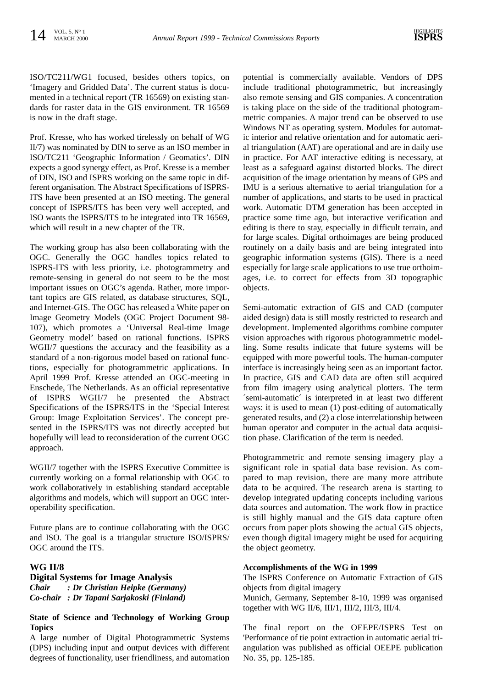ISO/TC211/WG1 focused, besides others topics, on 'Imagery and Gridded Data'. The current status is documented in a technical report (TR 16569) on existing standards for raster data in the GIS environment. TR 16569 is now in the draft stage.

Prof. Kresse, who has worked tirelessly on behalf of WG II/7) was nominated by DIN to serve as an ISO member in ISO/TC211 'Geographic Information / Geomatics'. DIN expects a good synergy effect, as Prof. Kresse is a member of DIN, ISO and ISPRS working on the same topic in different organisation. The Abstract Specifications of ISPRS-ITS have been presented at an ISO meeting. The general concept of ISPRS/ITS has been very well accepted, and ISO wants the ISPRS/ITS to be integrated into TR 16569, which will result in a new chapter of the TR.

The working group has also been collaborating with the OGC. Generally the OGC handles topics related to ISPRS-ITS with less priority, i.e. photogrammetry and remote-sensing in general do not seem to be the most important issues on OGC's agenda. Rather, more important topics are GIS related, as database structures, SQL, and Internet-GIS. The OGC has released a White paper on Image Geometry Models (OGC Project Document 98- 107), which promotes a 'Universal Real-time Image Geometry model' based on rational functions. ISPRS WGII/7 questions the accuracy and the feasibility as a standard of a non-rigorous model based on rational functions, especially for photogrammetric applications. In April 1999 Prof. Kresse attended an OGC-meeting in Enschede, The Netherlands. As an official representative of ISPRS WGII/7 he presented the Abstract Specifications of the ISPRS/ITS in the 'Special Interest Group: Image Exploitation Services'. The concept presented in the ISPRS/ITS was not directly accepted but hopefully will lead to reconsideration of the current OGC approach.

WGII/7 together with the ISPRS Executive Committee is currently working on a formal relationship with OGC to work collaboratively in establishing standard acceptable algorithms and models, which will support an OGC interoperability specification.

Future plans are to continue collaborating with the OGC and ISO. The goal is a triangular structure ISO/ISPRS/ OGC around the ITS.

# **WG II/8 Digital Systems for Image Analysis** *Chair : Dr Christian Heipke (Germany) Co-chair : Dr Tapani Sarjakoski (Finland)*

#### **State of Science and Technology of Working Group Topics**

A large number of Digital Photogrammetric Systems (DPS) including input and output devices with different degrees of functionality, user friendliness, and automation

potential is commercially available. Vendors of DPS include traditional photogrammetric, but increasingly also remote sensing and GIS companies. A concentration is taking place on the side of the traditional photogrammetric companies. A major trend can be observed to use Windows NT as operating system. Modules for automatic interior and relative orientation and for automatic aerial triangulation (AAT) are operational and are in daily use in practice. For AAT interactive editing is necessary, at least as a safeguard against distorted blocks. The direct acquisition of the image orientation by means of GPS and IMU is a serious alternative to aerial triangulation for a number of applications, and starts to be used in practical work. Automatic DTM generation has been accepted in practice some time ago, but interactive verification and editing is there to stay, especially in difficult terrain, and for large scales. Digital orthoimages are being produced routinely on a daily basis and are being integrated into geographic information systems (GIS). There is a need especially for large scale applications to use true orthoimages, i.e. to correct for effects from 3D topographic objects.

Semi-automatic extraction of GIS and CAD (computer aided design) data is still mostly restricted to research and development. Implemented algorithms combine computer vision approaches with rigorous photogrammetric modelling. Some results indicate that future systems will be equipped with more powerful tools. The human-computer interface is increasingly being seen as an important factor. In practice, GIS and CAD data are often still acquired from film imagery using analytical plotters. The term ´semi-automatic´ is interpreted in at least two different ways: it is used to mean (1) post-editing of automatically generated results, and (2) a close interrelationship between human operator and computer in the actual data acquisition phase. Clarification of the term is needed.

Photogrammetric and remote sensing imagery play a significant role in spatial data base revision. As compared to map revision, there are many more attribute data to be acquired. The research arena is starting to develop integrated updating concepts including various data sources and automation. The work flow in practice is still highly manual and the GIS data capture often occurs from paper plots showing the actual GIS objects, even though digital imagery might be used for acquiring the object geometry.

#### **Accomplishments of the WG in 1999**

The ISPRS Conference on Automatic Extraction of GIS objects from digital imagery

Munich, Germany, September 8-10, 1999 was organised together with WG II/6, III/1, III/2, III/3, III/4.

The final report on the OEEPE/ISPRS Test on 'Performance of tie point extraction in automatic aerial triangulation was published as official OEEPE publication No. 35, pp. 125-185.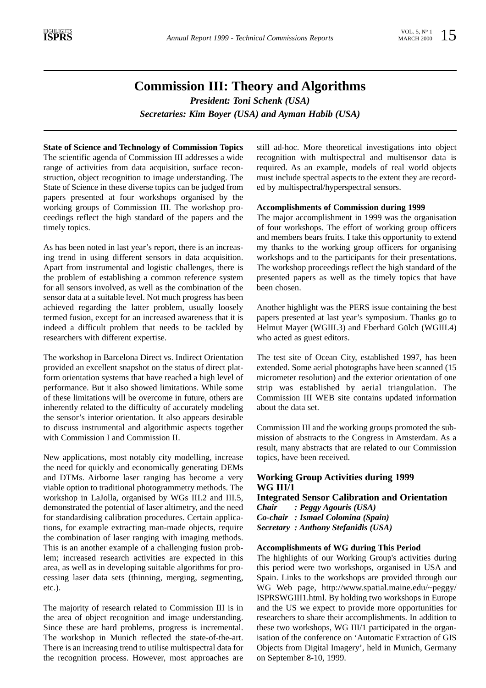# **Commission III: Theory and Algorithms**

*President: Toni Schenk (USA) Secretaries: Kim Boyer (USA) and Ayman Habib (USA)*

**State of Science and Technology of Commission Topics** The scientific agenda of Commission III addresses a wide range of activities from data acquisition, surface reconstruction, object recognition to image understanding. The State of Science in these diverse topics can be judged from papers presented at four workshops organised by the working groups of Commission III. The workshop proceedings reflect the high standard of the papers and the timely topics.

As has been noted in last year's report, there is an increasing trend in using different sensors in data acquisition. Apart from instrumental and logistic challenges, there is the problem of establishing a common reference system for all sensors involved, as well as the combination of the sensor data at a suitable level. Not much progress has been achieved regarding the latter problem, usually loosely termed fusion, except for an increased awareness that it is indeed a difficult problem that needs to be tackled by researchers with different expertise.

The workshop in Barcelona Direct vs. Indirect Orientation provided an excellent snapshot on the status of direct platform orientation systems that have reached a high level of performance. But it also showed limitations. While some of these limitations will be overcome in future, others are inherently related to the difficulty of accurately modeling the sensor's interior orientation. It also appears desirable to discuss instrumental and algorithmic aspects together with Commission I and Commission II.

New applications, most notably city modelling, increase the need for quickly and economically generating DEMs and DTMs. Airborne laser ranging has become a very viable option to traditional photogrammetry methods. The workshop in LaJolla, organised by WGs III.2 and III.5, demonstrated the potential of laser altimetry, and the need for standardising calibration procedures. Certain applications, for example extracting man-made objects, require the combination of laser ranging with imaging methods. This is an another example of a challenging fusion problem; increased research activities are expected in this area, as well as in developing suitable algorithms for processing laser data sets (thinning, merging, segmenting, etc.).

The majority of research related to Commission III is in the area of object recognition and image understanding. Since these are hard problems, progress is incremental. The workshop in Munich reflected the state-of-the-art. There is an increasing trend to utilise multispectral data for the recognition process. However, most approaches are

still ad-hoc. More theoretical investigations into object recognition with multispectral and multisensor data is required. As an example, models of real world objects must include spectral aspects to the extent they are recorded by multispectral/hyperspectral sensors.

#### **Accomplishments of Commission during 1999**

The major accomplishment in 1999 was the organisation of four workshops. The effort of working group officers and members bears fruits. I take this opportunity to extend my thanks to the working group officers for organising workshops and to the participants for their presentations. The workshop proceedings reflect the high standard of the presented papers as well as the timely topics that have been chosen.

Another highlight was the PERS issue containing the best papers presented at last year's symposium. Thanks go to Helmut Mayer (WGIII.3) and Eberhard Gülch (WGIII.4) who acted as guest editors.

The test site of Ocean City, established 1997, has been extended. Some aerial photographs have been scanned (15 micrometer resolution) and the exterior orientation of one strip was established by aerial triangulation. The Commission III WEB site contains updated information about the data set.

Commission III and the working groups promoted the submission of abstracts to the Congress in Amsterdam. As a result, many abstracts that are related to our Commission topics, have been received.

# **Working Group Activities during 1999 WG III/1**

**Integrated Sensor Calibration and Orientation** *Chair : Peggy Agouris (USA) Co-chair : Ismael Colomina (Spain) Secretary : Anthony Stefanidis (USA)*

#### **Accomplishments of WG during This Period**

The highlights of our Working Group's activities during this period were two workshops, organised in USA and Spain. Links to the workshops are provided through our WG Web page, http://www.spatial.maine.edu/~peggy/ ISPRSWGIII1.html. By holding two workshops in Europe and the US we expect to provide more opportunities for researchers to share their accomplishments. In addition to these two workshops, WG III/1 participated in the organisation of the conference on 'Automatic Extraction of GIS Objects from Digital Imagery', held in Munich, Germany on September 8-10, 1999.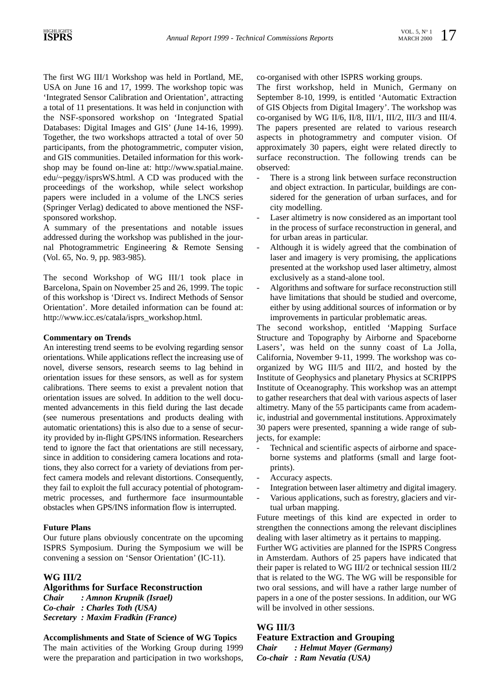The first WG III/1 Workshop was held in Portland, ME, USA on June 16 and 17, 1999. The workshop topic was 'Integrated Sensor Calibration and Orientation', attracting a total of 11 presentations. It was held in conjunction with the NSF-sponsored workshop on 'Integrated Spatial Databases: Digital Images and GIS' (June 14-16, 1999). Together, the two workshops attracted a total of over 50 participants, from the photogrammetric, computer vision, and GIS communities. Detailed information for this workshop may be found on-line at: http://www.spatial.maine. edu/~peggy/isprsWS.html. A CD was produced with the proceedings of the workshop, while select workshop papers were included in a volume of the LNCS series (Springer Verlag) dedicated to above mentioned the NSFsponsored workshop.

A summary of the presentations and notable issues addressed during the workshop was published in the journal Photogrammetric Engineering & Remote Sensing (Vol. 65, No. 9, pp. 983-985).

The second Workshop of WG III/1 took place in Barcelona, Spain on November 25 and 26, 1999. The topic of this workshop is 'Direct vs. Indirect Methods of Sensor Orientation'. More detailed information can be found at: http://www.icc.es/catala/isprs\_workshop.html.

#### **Commentary on Trends**

An interesting trend seems to be evolving regarding sensor orientations. While applications reflect the increasing use of novel, diverse sensors, research seems to lag behind in orientation issues for these sensors, as well as for system calibrations. There seems to exist a prevalent notion that orientation issues are solved. In addition to the well documented advancements in this field during the last decade (see numerous presentations and products dealing with automatic orientations) this is also due to a sense of security provided by in-flight GPS/INS information. Researchers tend to ignore the fact that orientations are still necessary, since in addition to considering camera locations and rotations, they also correct for a variety of deviations from perfect camera models and relevant distortions. Consequently, they fail to exploit the full accuracy potential of photogrammetric processes, and furthermore face insurmountable obstacles when GPS/INS information flow is interrupted.

#### **Future Plans**

Our future plans obviously concentrate on the upcoming ISPRS Symposium. During the Symposium we will be convening a session on 'Sensor Orientation' (IC-11).

### **WG III/2**

**Algorithms for Surface Reconstruction** *Chair : Amnon Krupnik (Israel) Co-chair : Charles Toth (USA) Secretary : Maxim Fradkin (France)*

# **Accomplishments and State of Science of WG Topics**

The main activities of the Working Group during 1999 were the preparation and participation in two workshops, co-organised with other ISPRS working groups.

The first workshop, held in Munich, Germany on September 8-10, 1999, is entitled 'Automatic Extraction of GIS Objects from Digital Imagery'. The workshop was co-organised by WG II/6, II/8, III/1, III/2, III/3 and III/4. The papers presented are related to various research aspects in photogrammetry and computer vision. Of approximately 30 papers, eight were related directly to surface reconstruction. The following trends can be observed:

- There is a strong link between surface reconstruction and object extraction. In particular, buildings are considered for the generation of urban surfaces, and for city modelling.
- Laser altimetry is now considered as an important tool in the process of surface reconstruction in general, and for urban areas in particular.
- Although it is widely agreed that the combination of laser and imagery is very promising, the applications presented at the workshop used laser altimetry, almost exclusively as a stand-alone tool.
- Algorithms and software for surface reconstruction still have limitations that should be studied and overcome, either by using additional sources of information or by improvements in particular problematic areas.

The second workshop, entitled 'Mapping Surface Structure and Topography by Airborne and Spaceborne Lasers', was held on the sunny coast of La Jolla, California, November 9-11, 1999. The workshop was coorganized by WG III/5 and III/2, and hosted by the Institute of Geophysics and planetary Physics at SCRIPPS Institute of Oceanography. This workshop was an attempt to gather researchers that deal with various aspects of laser altimetry. Many of the 55 participants came from academic, industrial and governmental institutions. Approximately 30 papers were presented, spanning a wide range of subjects, for example:

- Technical and scientific aspects of airborne and spaceborne systems and platforms (small and large footprints).
- Accuracy aspects.
- Integration between laser altimetry and digital imagery.
- Various applications, such as forestry, glaciers and virtual urban mapping.

Future meetings of this kind are expected in order to strengthen the connections among the relevant disciplines dealing with laser altimetry as it pertains to mapping.

Further WG activities are planned for the ISPRS Congress in Amsterdam. Authors of 25 papers have indicated that their paper is related to WG III/2 or technical session III/2 that is related to the WG. The WG will be responsible for two oral sessions, and will have a rather large number of papers in a one of the poster sessions. In addition, our WG will be involved in other sessions.

# **WG III/3**

**Feature Extraction and Grouping** *Chair : Helmut Mayer (Germany) Co-chair : Ram Nevatia (USA)*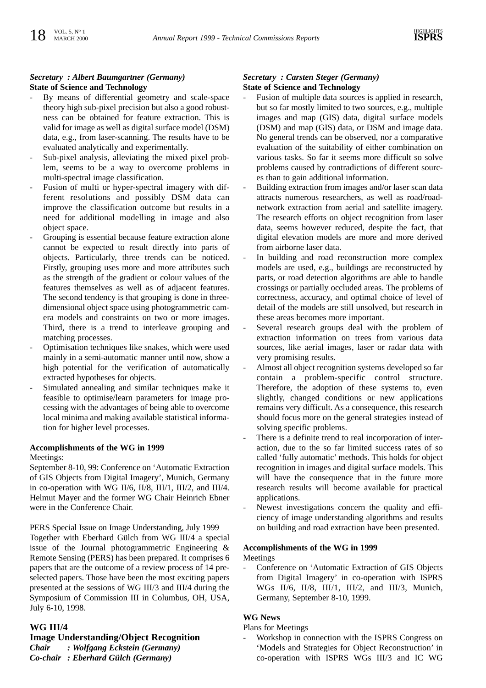# *Secretary : Albert Baumgartner (Germany)* **State of Science and Technology**

- By means of differential geometry and scale-space theory high sub-pixel precision but also a good robustness can be obtained for feature extraction. This is valid for image as well as digital surface model (DSM) data, e.g., from laser-scanning. The results have to be evaluated analytically and experimentally.
- Sub-pixel analysis, alleviating the mixed pixel problem, seems to be a way to overcome problems in multi-spectral image classification.
- Fusion of multi or hyper-spectral imagery with different resolutions and possibly DSM data can improve the classification outcome but results in a need for additional modelling in image and also object space.
- Grouping is essential because feature extraction alone cannot be expected to result directly into parts of objects. Particularly, three trends can be noticed. Firstly, grouping uses more and more attributes such as the strength of the gradient or colour values of the features themselves as well as of adjacent features. The second tendency is that grouping is done in threedimensional object space using photogrammetric camera models and constraints on two or more images. Third, there is a trend to interleave grouping and matching processes.
- Optimisation techniques like snakes, which were used mainly in a semi-automatic manner until now, show a high potential for the verification of automatically extracted hypotheses for objects.
- Simulated annealing and similar techniques make it feasible to optimise/learn parameters for image processing with the advantages of being able to overcome local minima and making available statistical information for higher level processes.

#### **Accomplishments of the WG in 1999**

Meetings:

September 8-10, 99: Conference on 'Automatic Extraction of GIS Objects from Digital Imagery', Munich, Germany in co-operation with WG II/6, II/8, III/1, III/2, and III/4. Helmut Mayer and the former WG Chair Heinrich Ebner were in the Conference Chair.

PERS Special Issue on Image Understanding, July 1999 Together with Eberhard Gülch from WG III/4 a special issue of the Journal photogrammetric Engineering & Remote Sensing (PERS) has been prepared. It comprises 6 papers that are the outcome of a review process of 14 preselected papers. Those have been the most exciting papers presented at the sessions of WG III/3 and III/4 during the Symposium of Commission III in Columbus, OH, USA, July 6-10, 1998.

#### **WG III/4**

# **Image Understanding/Object Recognition**

*Chair : Wolfgang Eckstein (Germany)*

*Co-chair : Eberhard Gülch (Germany)*

#### *Secretary : Carsten Steger (Germany)* **State of Science and Technology**

- Fusion of multiple data sources is applied in research, but so far mostly limited to two sources, e.g., multiple images and map (GIS) data, digital surface models (DSM) and map (GIS) data, or DSM and image data. No general trends can be observed, nor a comparative evaluation of the suitability of either combination on various tasks. So far it seems more difficult so solve problems caused by contradictions of different sources than to gain additional information.
- Building extraction from images and/or laser scan data attracts numerous researchers, as well as road/roadnetwork extraction from aerial and satellite imagery. The research efforts on object recognition from laser data, seems however reduced, despite the fact, that digital elevation models are more and more derived from airborne laser data.
- In building and road reconstruction more complex models are used, e.g., buildings are reconstructed by parts, or road detection algorithms are able to handle crossings or partially occluded areas. The problems of correctness, accuracy, and optimal choice of level of detail of the models are still unsolved, but research in these areas becomes more important.
- Several research groups deal with the problem of extraction information on trees from various data sources, like aerial images, laser or radar data with very promising results.
- Almost all object recognition systems developed so far contain a problem-specific control structure. Therefore, the adoption of these systems to, even slightly, changed conditions or new applications remains very difficult. As a consequence, this research should focus more on the general strategies instead of solving specific problems.
- There is a definite trend to real incorporation of interaction, due to the so far limited success rates of so called 'fully automatic' methods. This holds for object recognition in images and digital surface models. This will have the consequence that in the future more research results will become available for practical applications.
- Newest investigations concern the quality and efficiency of image understanding algorithms and results on building and road extraction have been presented.

#### **Accomplishments of the WG in 1999**

Meetings

- Conference on 'Automatic Extraction of GIS Objects from Digital Imagery' in co-operation with ISPRS WGs II/6, II/8, III/1, III/2, and III/3, Munich, Germany, September 8-10, 1999.

# **WG News**

Plans for Meetings

Workshop in connection with the ISPRS Congress on 'Models and Strategies for Object Reconstruction' in co-operation with ISPRS WGs III/3 and IC WG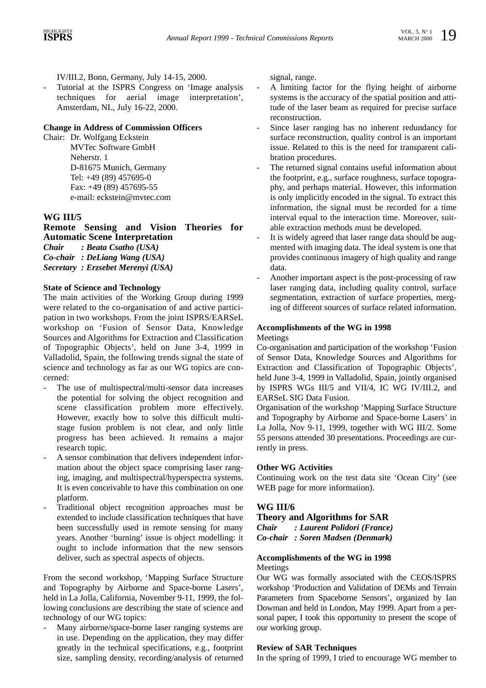IV/III.2, Bonn, Germany, July 14-15, 2000.

Tutorial at the ISPRS Congress on 'Image analysis techniques for aerial image interpretation', Amsterdam, NL, July 16-22, 2000.

#### **Change in Address of Commission Officers**

Chair: Dr. Wolfgang Eckstein MVTec Software GmbH Neherstr. 1 D-81675 Munich, Germany Tel: +49 (89) 457695-0 Fax: +49 (89) 457695-55 e-mail: eckstein@mvtec.com

### **WG III/5**

**Remote Sensing and Vision Theories for Automatic Scene Interpretation** *Chair : Beata Csatho (USA) Co-chair : DeLiang Wang (USA) Secretary : Erzsebet Merenyi (USA)*

#### **State of Science and Technology**

The main activities of the Working Group during 1999 were related to the co-organisation of and active participation in two workshops. From the joint ISPRS/EARSeL workshop on 'Fusion of Sensor Data, Knowledge Sources and Algorithms for Extraction and Classification of Topographic Objects', held on June 3-4, 1999 in Valladolid, Spain, the following trends signal the state of science and technology as far as our WG topics are concerned:

- The use of multispectral/multi-sensor data increases the potential for solving the object recognition and scene classification problem more effectively. However, exactly how to solve this difficult multistage fusion problem is not clear, and only little progress has been achieved. It remains a major research topic.
- A sensor combination that delivers independent information about the object space comprising laser ranging, imaging, and multispectral/hyperspectra systems. It is even conceivable to have this combination on one platform.
- Traditional object recognition approaches must be extended to include classification techniques that have been successfully used in remote sensing for many years. Another 'burning' issue is object modelling: it ought to include information that the new sensors deliver, such as spectral aspects of objects.

From the second workshop, 'Mapping Surface Structure and Topography by Airborne and Space-borne Lasers', held in La Jolla, California, November 9-11, 1999, the following conclusions are describing the state of science and technology of our WG topics:

Many airborne/space-borne laser ranging systems are in use. Depending on the application, they may differ greatly in the technical specifications, e.g., footprint size, sampling density, recording/analysis of returned signal, range.

- A limiting factor for the flying height of airborne systems is the accuracy of the spatial position and attitude of the laser beam as required for precise surface reconstruction.
- Since laser ranging has no inherent redundancy for surface reconstruction, quality control is an important issue. Related to this is the need for transparent calibration procedures.
- The returned signal contains useful information about the footprint, e.g., surface roughness, surface topography, and perhaps material. However, this information is only implicitly encoded in the signal. To extract this information, the signal must be recorded for a time interval equal to the interaction time. Moreover, suitable extraction methods must be developed.
- It is widely agreed that laser range data should be augmented with imaging data. The ideal system is one that provides continuous imagery of high quality and range data.
- Another important aspect is the post-processing of raw laser ranging data, including quality control, surface segmentation, extraction of surface properties, merging of different sources of surface related information.

#### **Accomplishments of the WG in 1998**

**Meetings** 

Co-organisation and participation of the workshop 'Fusion of Sensor Data, Knowledge Sources and Algorithms for Extraction and Classification of Topographic Objects', held June 3-4, 1999 in Valladolid, Spain, jointly organised by ISPRS WGs III/5 and VII/4, IC WG IV/III.2, and EARSeL SIG Data Fusion.

Organisation of the workshop 'Mapping Surface Structure and Topography by Airborne and Space-borne Lasers' in La Jolla, Nov 9-11, 1999, together with WG III/2. Some 55 persons attended 30 presentations. Proceedings are currently in press.

#### **Other WG Activities**

Continuing work on the test data site 'Ocean City' (see WEB page for more information).

#### **WG III/6**

**Theory and Algorithms for SAR**

*Chair : Laurent Polidori (France) Co-chair : Soren Madsen (Denmark)*

#### **Accomplishments of the WG in 1998** Meetings

Our WG was formally associated with the CEOS/ISPRS workshop 'Production and Validation of DEMs and Terrain Parameters from Spaceborne Sensors', organized by Ian Dowman and held in London, May 1999. Apart from a personal paper, I took this opportunity to present the scope of our working group.

#### **Review of SAR Techniques**

In the spring of 1999, I tried to encourage WG member to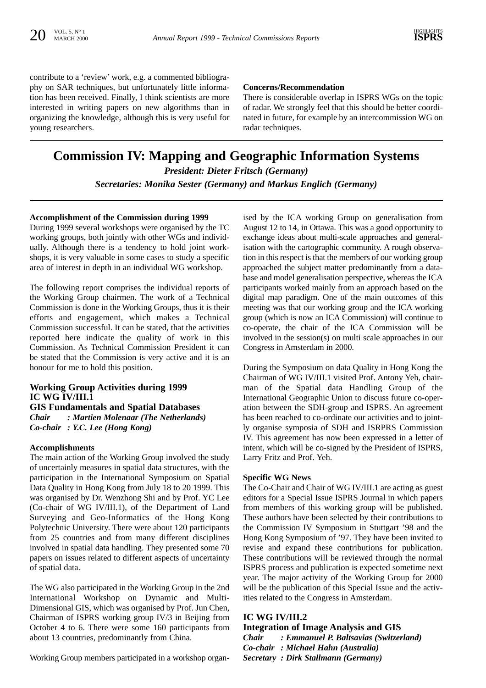contribute to a 'review' work, e.g. a commented bibliography on SAR techniques, but unfortunately little information has been received. Finally, I think scientists are more interested in writing papers on new algorithms than in organizing the knowledge, although this is very useful for young researchers.

#### **Concerns/Recommendation**

There is considerable overlap in ISPRS WGs on the topic of radar. We strongly feel that this should be better coordinated in future, for example by an intercommission WG on radar techniques.

# **Commission IV: Mapping and Geographic Information Systems** *President: Dieter Fritsch (Germany)*

*Secretaries: Monika Sester (Germany) and Markus Englich (Germany)*

#### **Accomplishment of the Commission during 1999**

During 1999 several workshops were organised by the TC working groups, both jointly with other WGs and individually. Although there is a tendency to hold joint workshops, it is very valuable in some cases to study a specific area of interest in depth in an individual WG workshop.

The following report comprises the individual reports of the Working Group chairmen. The work of a Technical Commission is done in the Working Groups, thus it is their efforts and engagement, which makes a Technical Commission successful. It can be stated, that the activities reported here indicate the quality of work in this Commission. As Technical Commission President it can be stated that the Commission is very active and it is an honour for me to hold this position.

# **Working Group Activities during 1999 IC WG IV/III.1 GIS Fundamentals and Spatial Databases**

*Chair : Martien Molenaar (The Netherlands) Co-chair : Y.C. Lee (Hong Kong)*

#### **Accomplishments**

The main action of the Working Group involved the study of uncertainly measures in spatial data structures, with the participation in the International Symposium on Spatial Data Quality in Hong Kong from July 18 to 20 1999. This was organised by Dr. Wenzhong Shi and by Prof. YC Lee (Co-chair of WG IV/III.1), of the Department of Land Surveying and Geo-Informatics of the Hong Kong Polytechnic University. There were about 120 participants from 25 countries and from many different disciplines involved in spatial data handling. They presented some 70 papers on issues related to different aspects of uncertainty of spatial data.

The WG also participated in the Working Group in the 2nd International Workshop on Dynamic and Multi-Dimensional GIS, which was organised by Prof. Jun Chen, Chairman of ISPRS working group IV/3 in Beijing from October 4 to 6. There were some 160 participants from about 13 countries, predominantly from China.

Working Group members participated in a workshop organ-

ised by the ICA working Group on generalisation from August 12 to 14, in Ottawa. This was a good opportunity to exchange ideas about multi-scale approaches and generalisation with the cartographic community. A rough observation in this respect is that the members of our working group approached the subject matter predominantly from a database and model generalisation perspective, whereas the ICA participants worked mainly from an approach based on the digital map paradigm. One of the main outcomes of this meeting was that our working group and the ICA working group (which is now an ICA Commission) will continue to co-operate, the chair of the ICA Commission will be involved in the session(s) on multi scale approaches in our Congress in Amsterdam in 2000.

During the Symposium on data Quality in Hong Kong the Chairman of WG IV/III.1 visited Prof. Antony Yeh, chairman of the Spatial data Handling Group of the International Geographic Union to discuss future co-operation between the SDH-group and ISPRS. An agreement has been reached to co-ordinate our activities and to jointly organise symposia of SDH and ISRPRS Commission IV. This agreement has now been expressed in a letter of intent, which will be co-signed by the President of ISPRS, Larry Fritz and Prof. Yeh.

#### **Specific WG News**

The Co-Chair and Chair of WG IV/III.1 are acting as guest editors for a Special Issue ISPRS Journal in which papers from members of this working group will be published. These authors have been selected by their contributions to the Commission IV Symposium in Stuttgart '98 and the Hong Kong Symposium of '97. They have been invited to revise and expand these contributions for publication. These contributions will be reviewed through the normal ISPRS process and publication is expected sometime next year. The major activity of the Working Group for 2000 will be the publication of this Special Issue and the activities related to the Congress in Amsterdam.

### **IC WG IV/III.2**

**Integration of Image Analysis and GIS** *Chair : Emmanuel P. Baltsavias (Switzerland) Co-chair : Michael Hahn (Australia) Secretary : Dirk Stallmann (Germany)*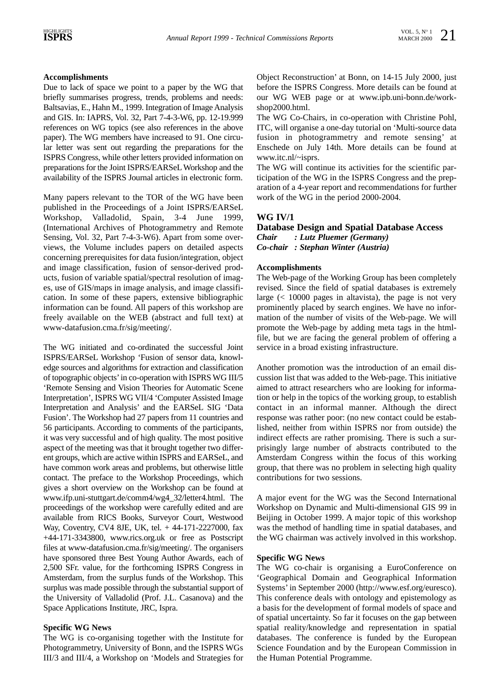# **Accomplishments**

Due to lack of space we point to a paper by the WG that briefly summarises progress, trends, problems and needs: Baltsavias, E., Hahn M., 1999. Integration of Image Analysis and GIS. In: IAPRS, Vol. 32, Part 7-4-3-W6, pp. 12-19.999 references on WG topics (see also references in the above paper). The WG members have increased to 91. One circular letter was sent out regarding the preparations for the ISPRS Congress, while other letters provided information on preparations for the Joint ISPRS/EARSeL Workshop and the availability of the ISPRS Journal articles in electronic form.

Many papers relevant to the TOR of the WG have been published in the Proceedings of a Joint ISPRS/EARSeL Workshop, Valladolid, Spain, 3-4 June 1999, (International Archives of Photogrammetry and Remote Sensing, Vol. 32, Part 7-4-3-W6). Apart from some overviews, the Volume includes papers on detailed aspects concerning prerequisites for data fusion/integration, object and image classification, fusion of sensor-derived products, fusion of variable spatial/spectral resolution of images, use of GIS/maps in image analysis, and image classification. In some of these papers, extensive bibliographic information can be found. All papers of this workshop are freely available on the WEB (abstract and full text) at www-datafusion.cma.fr/sig/meeting/.

The WG initiated and co-ordinated the successful Joint ISPRS/EARSeL Workshop 'Fusion of sensor data, knowledge sources and algorithms for extraction and classification of topographic objects'in co-operation with ISPRS WG III/5 'Remote Sensing and Vision Theories for Automatic Scene Interpretation', ISPRS WG VII/4 'Computer Assisted Image Interpretation and Analysis' and the EARSeL SIG 'Data Fusion'. The Workshop had 27 papers from 11 countries and 56 participants. According to comments of the participants, it was very successful and of high quality. The most positive aspect of the meeting was that it brought together two different groups, which are active within ISPRS and EARSeL, and have common work areas and problems, but otherwise little contact. The preface to the Workshop Proceedings, which gives a short overview on the Workshop can be found at www.ifp.uni-stuttgart.de/comm4/wg4\_32/letter4.html. The proceedings of the workshop were carefully edited and are available from RICS Books, Surveyor Court, Westwood Way, Coventry, CV4 8JE, UK, tel. + 44-171-2227000, fax +44-171-3343800, www.rics.org.uk or free as Postscript files at www-datafusion.cma.fr/sig/meeting/. The organisers have sponsored three Best Young Author Awards, each of 2,500 SFr. value, for the forthcoming ISPRS Congress in Amsterdam, from the surplus funds of the Workshop. This surplus was made possible through the substantial support of the University of Valladolid (Prof. J.L. Casanova) and the Space Applications Institute, JRC, Ispra.

#### **Specific WG News**

The WG is co-organising together with the Institute for Photogrammetry, University of Bonn, and the ISPRS WGs III/3 and III/4, a Workshop on 'Models and Strategies for Object Reconstruction' at Bonn, on 14-15 July 2000, just before the ISPRS Congress. More details can be found at our WG WEB page or at www.ipb.uni-bonn.de/workshop2000.html.

The WG Co-Chairs, in co-operation with Christine Pohl, ITC, will organise a one-day tutorial on 'Multi-source data fusion in photogrammetry and remote sensing' at Enschede on July 14th. More details can be found at www.itc.nl/~isprs.

The WG will continue its activities for the scientific participation of the WG in the ISPRS Congress and the preparation of a 4-year report and recommendations for further work of the WG in the period 2000-2004.

# **WG IV/1**

**Database Design and Spatial Database Access** *Chair : Lutz Pluemer (Germany) Co-chair : Stephan Winter (Austria)*

#### **Accomplishments**

The Web-page of the Working Group has been completely revised. Since the field of spatial databases is extremely large  $\approx$  10000 pages in altavista), the page is not very prominently placed by search engines. We have no information of the number of visits of the Web-page. We will promote the Web-page by adding meta tags in the htmlfile, but we are facing the general problem of offering a service in a broad existing infrastructure.

Another promotion was the introduction of an email discussion list that was added to the Web-page. This initiative aimed to attract researchers who are looking for information or help in the topics of the working group, to establish contact in an informal manner. Although the direct response was rather poor: (no new contact could be established, neither from within ISPRS nor from outside) the indirect effects are rather promising. There is such a surprisingly large number of abstracts contributed to the Amsterdam Congress within the focus of this working group, that there was no problem in selecting high quality contributions for two sessions.

A major event for the WG was the Second International Workshop on Dynamic and Multi-dimensional GIS 99 in Beijing in October 1999. A major topic of this workshop was the method of handling time in spatial databases, and the WG chairman was actively involved in this workshop.

#### **Specific WG News**

The WG co-chair is organising a EuroConference on 'Geographical Domain and Geographical Information Systems' in September 2000 (http://www.esf.org/euresco). This conference deals with ontology and epistemology as a basis for the development of formal models of space and of spatial uncertainty. So far it focuses on the gap between spatial reality/knowledge and representation in spatial databases. The conference is funded by the European Science Foundation and by the European Commission in the Human Potential Programme.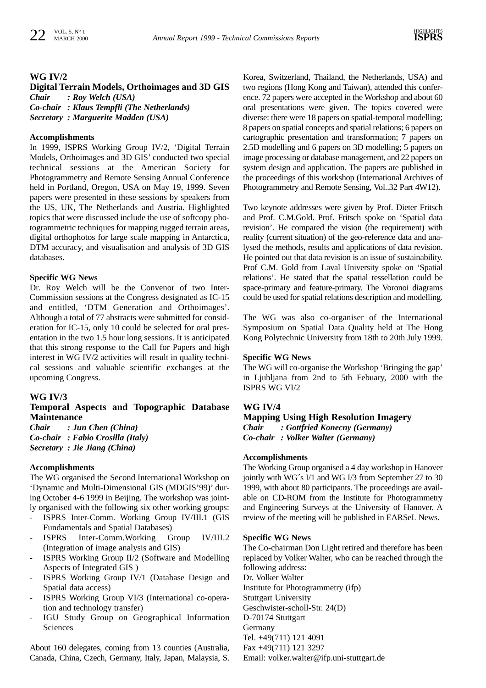### **WG IV/2**

# **Digital Terrain Models, Orthoimages and 3D GIS**

*Chair : Roy Welch (USA) Co-chair : Klaus Tempfli (The Netherlands)*

*Secretary : Marguerite Madden (USA)*

### **Accomplishments**

In 1999, ISPRS Working Group IV/2, 'Digital Terrain Models, Orthoimages and 3D GIS' conducted two special technical sessions at the American Society for Photogrammetry and Remote Sensing Annual Conference held in Portland, Oregon, USA on May 19, 1999. Seven papers were presented in these sessions by speakers from the US, UK, The Netherlands and Austria. Highlighted topics that were discussed include the use of softcopy photogrammetric techniques for mapping rugged terrain areas, digital orthophotos for large scale mapping in Antarctica, DTM accuracy, and visualisation and analysis of 3D GIS databases.

#### **Specific WG News**

Dr. Roy Welch will be the Convenor of two Inter-Commission sessions at the Congress designated as IC-15 and entitled, 'DTM Generation and Orthoimages'. Although a total of 77 abstracts were submitted for consideration for IC-15, only 10 could be selected for oral presentation in the two 1.5 hour long sessions. It is anticipated that this strong response to the Call for Papers and high interest in WG IV/2 activities will result in quality technical sessions and valuable scientific exchanges at the upcoming Congress.

#### **WG IV/3**

# **Temporal Aspects and Topographic Database Maintenance**

*Chair : Jun Chen (China) Co-chair : Fabio Crosilla (Italy) Secretary : Jie Jiang (China)*

#### **Accomplishments**

The WG organised the Second International Workshop on 'Dynamic and Multi-Dimensional GIS (MDGIS'99)' during October 4-6 1999 in Beijing. The workshop was jointly organised with the following six other working groups:

- ISPRS Inter-Comm. Working Group IV/III.1 (GIS Fundamentals and Spatial Databases)
- ISPRS Inter-Comm.Working Group IV/III.2 (Integration of image analysis and GIS)
- ISPRS Working Group II/2 (Software and Modelling Aspects of Integrated GIS )
- ISPRS Working Group IV/1 (Database Design and Spatial data access)
- ISPRS Working Group VI/3 (International co-operation and technology transfer)
- IGU Study Group on Geographical Information Sciences

About 160 delegates, coming from 13 counties (Australia, Canada, China, Czech, Germany, Italy, Japan, Malaysia, S.

Korea, Switzerland, Thailand, the Netherlands, USA) and two regions (Hong Kong and Taiwan), attended this conference. 72 papers were accepted in the Workshop and about 60 oral presentations were given. The topics covered were diverse: there were 18 papers on spatial-temporal modelling; 8 papers on spatial concepts and spatial relations; 6 papers on cartographic presentation and transformation; 7 papers on 2.5D modelling and 6 papers on 3D modelling; 5 papers on image processing or database management, and 22 papers on system design and application. The papers are published in the proceedings of this workshop (International Archives of Photogrammetry and Remote Sensing, Vol..32 Part 4W12).

Two keynote addresses were given by Prof. Dieter Fritsch and Prof. C.M.Gold. Prof. Fritsch spoke on 'Spatial data revision'. He compared the vision (the requirement) with reality (current situation) of the geo-reference data and analysed the methods, results and applications of data revision. He pointed out that data revision is an issue of sustainability. Prof C.M. Gold from Laval University spoke on 'Spatial relations'. He stated that the spatial tessellation could be space-primary and feature-primary. The Voronoi diagrams could be used for spatial relations description and modelling.

The WG was also co-organiser of the International Symposium on Spatial Data Quality held at The Hong Kong Polytechnic University from 18th to 20th July 1999.

#### **Specific WG News**

The WG will co-organise the Workshop 'Bringing the gap' in Ljubljana from 2nd to 5th Febuary, 2000 with the ISPRS WG VI/2

#### **WG IV/4**

**Mapping Using High Resolution Imagery** *Chair : Gottfried Konecny (Germany) Co-chair : Volker Walter (Germany)*

#### **Accomplishments**

The Working Group organised a 4 day workshop in Hanover jointly with WG´s I/1 and WG I/3 from September 27 to 30 1999, with about 80 participants. The proceedings are available on CD-ROM from the Institute for Photogrammetry and Engineering Surveys at the University of Hanover. A review of the meeting will be published in EARSeL News.

#### **Specific WG News**

The Co-chairman Don Light retired and therefore has been replaced by Volker Walter, who can be reached through the following address: Dr. Volker Walter

Institute for Photogrammetry (ifp) Stuttgart University Geschwister-scholl-Str. 24(D) D-70174 Stuttgart Germany Tel. +49(711) 121 4091 Fax +49(711) 121 3297 Email: volker.walter@ifp.uni-stuttgart.de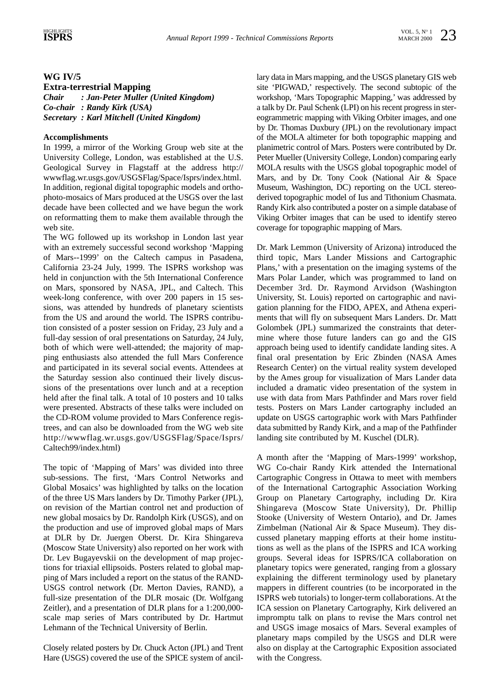# **WG IV/5**

**Extra-terrestrial Mapping**  *Chair : Jan-Peter Muller (United Kingdom) Co-chair : Randy Kirk (USA) Secretary : Karl Mitchell (United Kingdom)*

# **Accomplishments**

In 1999, a mirror of the Working Group web site at the University College, London, was established at the U.S. Geological Survey in Flagstaff at the address http:// wwwflag.wr.usgs.gov/USGSFlag/Space/Isprs/index.html. In addition, regional digital topographic models and orthophoto-mosaics of Mars produced at the USGS over the last decade have been collected and we have begun the work on reformatting them to make them available through the web site.

The WG followed up its workshop in London last year with an extremely successful second workshop 'Mapping of Mars--1999' on the Caltech campus in Pasadena, California 23-24 July, 1999. The ISPRS workshop was held in conjunction with the 5th International Conference on Mars, sponsored by NASA, JPL, and Caltech. This week-long conference, with over 200 papers in 15 sessions, was attended by hundreds of planetary scientists from the US and around the world. The ISPRS contribution consisted of a poster session on Friday, 23 July and a full-day session of oral presentations on Saturday, 24 July, both of which were well-attended; the majority of mapping enthusiasts also attended the full Mars Conference and participated in its several social events. Attendees at the Saturday session also continued their lively discussions of the presentations over lunch and at a reception held after the final talk. A total of 10 posters and 10 talks were presented. Abstracts of these talks were included on the CD-ROM volume provided to Mars Conference registrees, and can also be downloaded from the WG web site http://wwwflag.wr.usgs.gov/USGSFlag/Space/Isprs/ Caltech99/index.html)

The topic of 'Mapping of Mars' was divided into three sub-sessions. The first, 'Mars Control Networks and Global Mosaics' was highlighted by talks on the location of the three US Mars landers by Dr. Timothy Parker (JPL), on revision of the Martian control net and production of new global mosaics by Dr. Randolph Kirk (USGS), and on the production and use of improved global maps of Mars at DLR by Dr. Juergen Oberst. Dr. Kira Shingareva (Moscow State University) also reported on her work with Dr. Lev Bugayevskii on the development of map projections for triaxial ellipsoids. Posters related to global mapping of Mars included a report on the status of the RAND-USGS control network (Dr. Merton Davies, RAND), a full-size presentation of the DLR mosaic (Dr. Wolfgang Zeitler), and a presentation of DLR plans for a 1:200,000 scale map series of Mars contributed by Dr. Hartmut Lehmann of the Technical University of Berlin.

Closely related posters by Dr. Chuck Acton (JPL) and Trent Hare (USGS) covered the use of the SPICE system of ancillary data in Mars mapping, and the USGS planetary GIS web site 'PIGWAD,' respectively. The second subtopic of the workshop, 'Mars Topographic Mapping,' was addressed by a talk by Dr. Paul Schenk (LPI) on his recent progress in stereogrammetric mapping with Viking Orbiter images, and one by Dr. Thomas Duxbury (JPL) on the revolutionary impact of the MOLA altimeter for both topographic mapping and planimetric control of Mars. Posters were contributed by Dr. Peter Mueller (University College, London) comparing early MOLA results with the USGS global topographic model of Mars, and by Dr. Tony Cook (National Air & Space Museum, Washington, DC) reporting on the UCL stereoderived topographic model of Ius and Tithonium Chasmata. Randy Kirk also contributed a poster on a simple database of Viking Orbiter images that can be used to identify stereo coverage for topographic mapping of Mars.

Dr. Mark Lemmon (University of Arizona) introduced the third topic, Mars Lander Missions and Cartographic Plans,' with a presentation on the imaging systems of the Mars Polar Lander, which was programmed to land on December 3rd. Dr. Raymond Arvidson (Washington University, St. Louis) reported on cartographic and navigation planning for the FIDO, APEX, and Athena experiments that will fly on subsequent Mars Landers. Dr. Matt Golombek (JPL) summarized the constraints that determine where those future landers can go and the GIS approach being used to identify candidate landing sites. A final oral presentation by Eric Zbinden (NASA Ames Research Center) on the virtual reality system developed by the Ames group for visualization of Mars Lander data included a dramatic video presentation of the system in use with data from Mars Pathfinder and Mars rover field tests. Posters on Mars Lander cartography included an update on USGS cartographic work with Mars Pathfinder data submitted by Randy Kirk, and a map of the Pathfinder landing site contributed by M. Kuschel (DLR).

A month after the 'Mapping of Mars-1999' workshop, WG Co-chair Randy Kirk attended the International Cartographic Congress in Ottawa to meet with members of the International Cartographic Association Working Group on Planetary Cartography, including Dr. Kira Shingareva (Moscow State University), Dr. Phillip Stooke (University of Western Ontario), and Dr. James Zimbelman (National Air & Space Museum). They discussed planetary mapping efforts at their home institutions as well as the plans of the ISPRS and ICA working groups. Several ideas for ISPRS/ICA collaboration on planetary topics were generated, ranging from a glossary explaining the different terminology used by planetary mappers in different countries (to be incorporated in the ISPRS web tutorials) to longer-term collaborations. At the ICA session on Planetary Cartography, Kirk delivered an impromptu talk on plans to revise the Mars control net and USGS image mosaics of Mars. Several examples of planetary maps compiled by the USGS and DLR were also on display at the Cartographic Exposition associated with the Congress.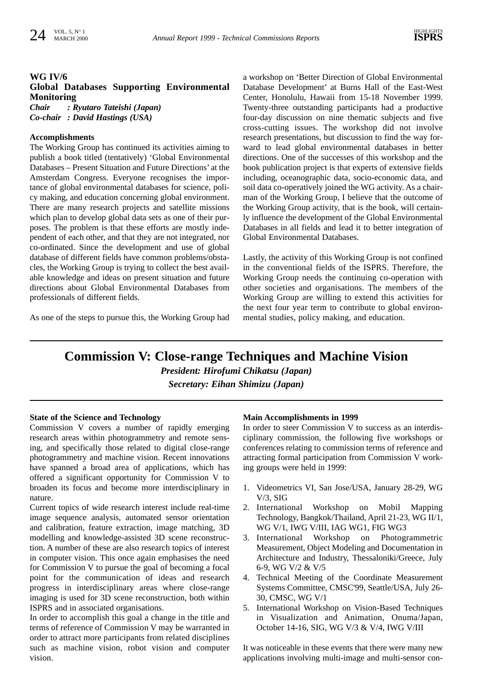# **WG IV/6**

# **Global Databases Supporting Environmental Monitoring**  *Chair : Ryutaro Tateishi (Japan)*

*Co-chair : David Hastings (USA)*

# **Accomplishments**

The Working Group has continued its activities aiming to publish a book titled (tentatively) 'Global Environmental Databases – Present Situation and Future Directions' at the Amsterdam Congress. Everyone recognises the importance of global environmental databases for science, policy making, and education concerning global environment. There are many research projects and satellite missions which plan to develop global data sets as one of their purposes. The problem is that these efforts are mostly independent of each other, and that they are not integrated, nor co-ordinated. Since the development and use of global database of different fields have common problems/obstacles, the Working Group is trying to collect the best available knowledge and ideas on present situation and future directions about Global Environmental Databases from professionals of different fields.

As one of the steps to pursue this, the Working Group had

a workshop on 'Better Direction of Global Environmental Database Development' at Burns Hall of the East-West Center, Honolulu, Hawaii from 15-18 November 1999. Twenty-three outstanding participants had a productive four-day discussion on nine thematic subjects and five cross-cutting issues. The workshop did not involve research presentations, but discussion to find the way forward to lead global environmental databases in better directions. One of the successes of this workshop and the book publication project is that experts of extensive fields including, oceanographic data, socio-economic data, and soil data co-operatively joined the WG activity. As a chairman of the Working Group, I believe that the outcome of the Working Group activity, that is the book, will certainly influence the development of the Global Environmental Databases in all fields and lead it to better integration of Global Environmental Databases.

Lastly, the activity of this Working Group is not confined in the conventional fields of the ISPRS. Therefore, the Working Group needs the continuing co-operation with other societies and organisations. The members of the Working Group are willing to extend this activities for the next four year term to contribute to global environmental studies, policy making, and education.

# **Commission V: Close-range Techniques and Machine Vision**

*President: Hirofumi Chikatsu (Japan)* 

*Secretary: Eihan Shimizu (Japan)*

# **State of the Science and Technology**

Commission V covers a number of rapidly emerging research areas within photogrammetry and remote sensing, and specifically those related to digital close-range photogrammetry and machine vision. Recent innovations have spanned a broad area of applications, which has offered a significant opportunity for Commission V to broaden its focus and become more interdisciplinary in nature.

Current topics of wide research interest include real-time image sequence analysis, automated sensor orientation and calibration, feature extraction, image matching, 3D modelling and knowledge-assisted 3D scene reconstruction. A number of these are also research topics of interest in computer vision. This once again emphasises the need for Commission V to pursue the goal of becoming a focal point for the communication of ideas and research progress in interdisciplinary areas where close-range imaging is used for 3D scene reconstruction, both within ISPRS and in associated organisations.

In order to accomplish this goal a change in the title and terms of reference of Commission V may be warranted in order to attract more participants from related disciplines such as machine vision, robot vision and computer vision.

#### **Main Accomplishments in 1999**

In order to steer Commission V to success as an interdisciplinary commission, the following five workshops or conferences relating to commission terms of reference and attracting formal participation from Commission V working groups were held in 1999:

- 1. Videometrics VI, San Jose/USA, January 28-29, WG V/3, SIG
- 2. International Workshop on Mobil Mapping Technology, Bangkok/Thailand, April 21-23, WG II/1, WG V/1, IWG V/III, IAG WG1, FIG WG3
- 3. International Workshop on Photogrammetric Measurement, Object Modeling and Documentation in Architecture and Industry, Thessaloniki/Greece, July 6-9, WG V/2 & V/5
- 4. Technical Meeting of the Coordinate Measurement Systems Committee, CMSC'99, Seattle/USA, July 26- 30, CMSC, WG V/1
- 5. International Workshop on Vision-Based Techniques in Visualization and Animation, Onuma/Japan, October 14-16, SIG, WG V/3 & V/4, IWG V/III

It was noticeable in these events that there were many new applications involving multi-image and multi-sensor con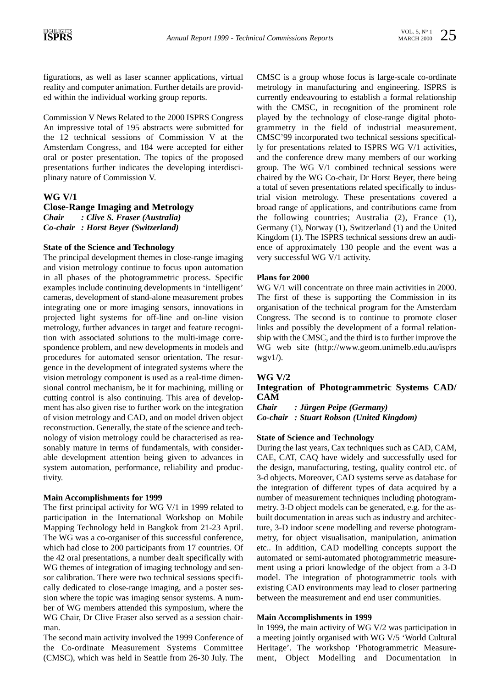figurations, as well as laser scanner applications, virtual reality and computer animation. Further details are provided within the individual working group reports.

Commission V News Related to the 2000 ISPRS Congress An impressive total of 195 abstracts were submitted for the 12 technical sessions of Commission V at the Amsterdam Congress, and 184 were accepted for either oral or poster presentation. The topics of the proposed presentations further indicates the developing interdisciplinary nature of Commission V.

# **WG V/1**

**Close-Range Imaging and Metrology**

*Chair : Clive S. Fraser (Australia) Co-chair : Horst Beyer (Switzerland)*

# **State of the Science and Technology**

The principal development themes in close-range imaging and vision metrology continue to focus upon automation in all phases of the photogrammetric process. Specific examples include continuing developments in 'intelligent' cameras, development of stand-alone measurement probes integrating one or more imaging sensors, innovations in projected light systems for off-line and on-line vision metrology, further advances in target and feature recognition with associated solutions to the multi-image correspondence problem, and new developments in models and procedures for automated sensor orientation. The resurgence in the development of integrated systems where the vision metrology component is used as a real-time dimensional control mechanism, be it for machining, milling or cutting control is also continuing. This area of development has also given rise to further work on the integration of vision metrology and CAD, and on model driven object reconstruction. Generally, the state of the science and technology of vision metrology could be characterised as reasonably mature in terms of fundamentals, with considerable development attention being given to advances in system automation, performance, reliability and productivity.

#### **Main Accomplishments for 1999**

The first principal activity for WG V/1 in 1999 related to participation in the International Workshop on Mobile Mapping Technology held in Bangkok from 21-23 April. The WG was a co-organiser of this successful conference, which had close to 200 participants from 17 countries. Of the 42 oral presentations, a number dealt specifically with WG themes of integration of imaging technology and sensor calibration. There were two technical sessions specifically dedicated to close-range imaging, and a poster session where the topic was imaging sensor systems. A number of WG members attended this symposium, where the WG Chair, Dr Clive Fraser also served as a session chairman.

The second main activity involved the 1999 Conference of the Co-ordinate Measurement Systems Committee (CMSC), which was held in Seattle from 26-30 July. The

CMSC is a group whose focus is large-scale co-ordinate metrology in manufacturing and engineering. ISPRS is currently endeavouring to establish a formal relationship with the CMSC, in recognition of the prominent role played by the technology of close-range digital photogrammetry in the field of industrial measurement. CMSC'99 incorporated two technical sessions specifically for presentations related to ISPRS WG V/1 activities, and the conference drew many members of our working group. The WG V/1 combined technical sessions were chaired by the WG Co-chair, Dr Horst Beyer, there being a total of seven presentations related specifically to industrial vision metrology. These presentations covered a broad range of applications, and contributions came from the following countries; Australia (2), France (1), Germany (1), Norway (1), Switzerland (1) and the United Kingdom (1). The ISPRS technical sessions drew an audience of approximately 130 people and the event was a very successful WG V/1 activity.

#### **Plans for 2000**

WG V/1 will concentrate on three main activities in 2000. The first of these is supporting the Commission in its organisation of the technical program for the Amsterdam Congress. The second is to continue to promote closer links and possibly the development of a formal relationship with the CMSC, and the third is to further improve the WG web site (http://www.geom.unimelb.edu.au/isprs  $wgy1/$ ).

#### **WG V/2**

# **Integration of Photogrammetric Systems CAD/ CAM**

*Chair : Jürgen Peipe (Germany) Co-chair : Stuart Robson (United Kingdom)*

#### **State of Science and Technology**

During the last years, Cax techniques such as CAD, CAM, CAE, CAT, CAQ have widely and successfully used for the design, manufacturing, testing, quality control etc. of 3-d objects. Moreover, CAD systems serve as database for the integration of different types of data acquired by a number of measurement techniques including photogrammetry. 3-D object models can be generated, e.g. for the asbuilt documentation in areas such as industry and architecture, 3-D indoor scene modelling and reverse photogrammetry, for object visualisation, manipulation, animation etc.. In addition, CAD modelling concepts support the automated or semi-automated photogrammetric measurement using a priori knowledge of the object from a 3-D model. The integration of photogrammetric tools with existing CAD environments may lead to closer partnering between the measurement and end user communities.

#### **Main Accomplishments in 1999**

In 1999, the main activity of WG V/2 was participation in a meeting jointly organised with WG V/5 'World Cultural Heritage'. The workshop 'Photogrammetric Measurement, Object Modelling and Documentation in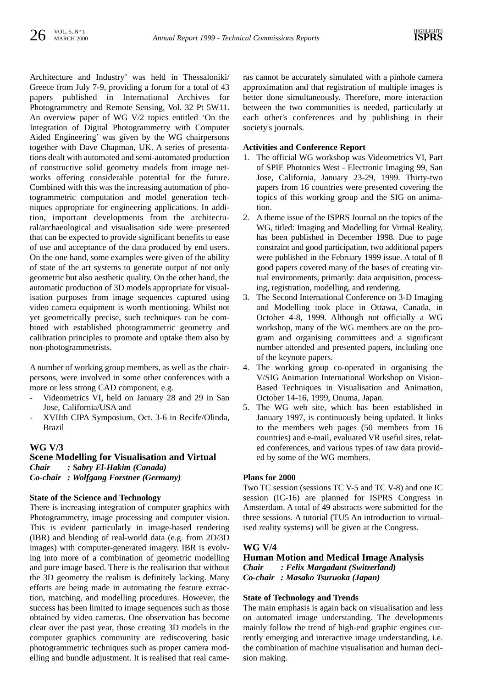Architecture and Industry' was held in Thessaloniki/ Greece from July 7-9, providing a forum for a total of 43 papers published in International Archives for Photogrammetry and Remote Sensing, Vol. 32 Pt 5W11. An overview paper of WG V/2 topics entitled 'On the Integration of Digital Photogrammetry with Computer Aided Engineering' was given by the WG chairpersons together with Dave Chapman, UK. A series of presentations dealt with automated and semi-automated production of constructive solid geometry models from image networks offering considerable potential for the future. Combined with this was the increasing automation of photogrammetric computation and model generation techniques appropriate for engineering applications. In addition, important developments from the architectural/archaeological and visualisation side were presented that can be expected to provide significant benefits to ease of use and acceptance of the data produced by end users. On the one hand, some examples were given of the ability of state of the art systems to generate output of not only geometric but also aesthetic quality. On the other hand, the automatic production of 3D models appropriate for visualisation purposes from image sequences captured using video camera equipment is worth mentioning. Whilst not yet geometrically precise, such techniques can be combined with established photogrammetric geometry and calibration principles to promote and uptake them also by non-photogrammetrists.

A number of working group members, as well as the chairpersons, were involved in some other conferences with a more or less strong CAD component, e.g.

- Videometrics VI, held on January 28 and 29 in San Jose, California/USA and
- XVIIth CIPA Symposium, Oct. 3-6 in Recife/Olinda, Brazil

#### **WG V/3**

# **Scene Modelling for Visualisation and Virtual** *Chair : Sabry El-Hakim (Canada) Co-chair : Wolfgang Forstner (Germany)*

#### **State of the Science and Technology**

There is increasing integration of computer graphics with Photogrammetry, image processing and computer vision. This is evident particularly in image-based rendering (IBR) and blending of real-world data (e.g. from 2D/3D images) with computer-generated imagery. IBR is evolving into more of a combination of geometric modelling and pure image based. There is the realisation that without the 3D geometry the realism is definitely lacking. Many efforts are being made in automating the feature extraction, matching, and modelling procedures. However, the success has been limited to image sequences such as those obtained by video cameras. One observation has become clear over the past year, those creating 3D models in the computer graphics community are rediscovering basic photogrammetric techniques such as proper camera modelling and bundle adjustment. It is realised that real cameras cannot be accurately simulated with a pinhole camera approximation and that registration of multiple images is better done simultaneously. Therefore, more interaction between the two communities is needed, particularly at each other's conferences and by publishing in their society's journals.

#### **Activities and Conference Report**

- 1. The official WG workshop was Videometrics VI, Part of SPIE Photonics West - Electronic Imaging 99, San Jose, California, January 23-29, 1999. Thirty-two papers from 16 countries were presented covering the topics of this working group and the SIG on animation.
- 2. A theme issue of the ISPRS Journal on the topics of the WG, titled: Imaging and Modelling for Virtual Reality, has been published in December 1998. Due to page constraint and good participation, two additional papers were published in the February 1999 issue. A total of 8 good papers covered many of the bases of creating virtual environments, primarily: data acquisition, processing, registration, modelling, and rendering.
- 3. The Second International Conference on 3-D Imaging and Modelling took place in Ottawa, Canada, in October 4-8, 1999. Although not officially a WG workshop, many of the WG members are on the program and organising committees and a significant number attended and presented papers, including one of the keynote papers.
- 4. The working group co-operated in organising the V/SIG Animation International Workshop on Vision-Based Techniques in Visualisation and Animation, October 14-16, 1999, Onuma, Japan.
- 5. The WG web site, which has been established in January 1997, is continuously being updated. It links to the members web pages (50 members from 16 countries) and e-mail, evaluated VR useful sites, related conferences, and various types of raw data provided by some of the WG members.

# **Plans for 2000**

Two TC session (sessions TC V-5 and TC V-8) and one IC session (IC-16) are planned for ISPRS Congress in Amsterdam. A total of 49 abstracts were submitted for the three sessions. A tutorial (TU5 An introduction to virtualised reality systems) will be given at the Congress.

#### **WG V/4**

# **Human Motion and Medical Image Analysis** *Chair : Felix Margadant (Switzerland) Co-chair : Masako Tsuruoka (Japan)*

#### **State of Technology and Trends**

The main emphasis is again back on visualisation and less on automated image understanding. The developments mainly follow the trend of high-end graphic engines currently emerging and interactive image understanding, i.e. the combination of machine visualisation and human decision making.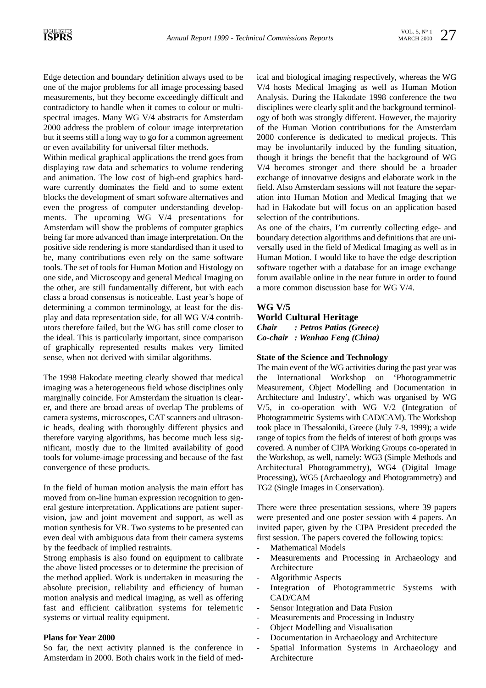Edge detection and boundary definition always used to be one of the major problems for all image processing based measurements, but they become exceedingly difficult and contradictory to handle when it comes to colour or multispectral images. Many WG V/4 abstracts for Amsterdam 2000 address the problem of colour image interpretation but it seems still a long way to go for a common agreement or even availability for universal filter methods.

Within medical graphical applications the trend goes from displaying raw data and schematics to volume rendering and animation. The low cost of high-end graphics hardware currently dominates the field and to some extent blocks the development of smart software alternatives and even the progress of computer understanding developments. The upcoming WG V/4 presentations for Amsterdam will show the problems of computer graphics being far more advanced than image interpretation. On the positive side rendering is more standardised than it used to be, many contributions even rely on the same software tools. The set of tools for Human Motion and Histology on one side, and Microscopy and general Medical Imaging on the other, are still fundamentally different, but with each class a broad consensus is noticeable. Last year's hope of determining a common terminology, at least for the display and data representation side, for all WG V/4 contributors therefore failed, but the WG has still come closer to the ideal. This is particularly important, since comparison of graphically represented results makes very limited sense, when not derived with similar algorithms.

The 1998 Hakodate meeting clearly showed that medical imaging was a heterogeneous field whose disciplines only marginally coincide. For Amsterdam the situation is clearer, and there are broad areas of overlap The problems of camera systems, microscopes, CAT scanners and ultrasonic heads, dealing with thoroughly different physics and therefore varying algorithms, has become much less significant, mostly due to the limited availability of good tools for volume-image processing and because of the fast convergence of these products.

In the field of human motion analysis the main effort has moved from on-line human expression recognition to general gesture interpretation. Applications are patient supervision, jaw and joint movement and support, as well as motion synthesis for VR. Two systems to be presented can even deal with ambiguous data from their camera systems by the feedback of implied restraints.

Strong emphasis is also found on equipment to calibrate the above listed processes or to determine the precision of the method applied. Work is undertaken in measuring the absolute precision, reliability and efficiency of human motion analysis and medical imaging, as well as offering fast and efficient calibration systems for telemetric systems or virtual reality equipment.

#### **Plans for Year 2000**

So far, the next activity planned is the conference in Amsterdam in 2000. Both chairs work in the field of medical and biological imaging respectively, whereas the WG V/4 hosts Medical Imaging as well as Human Motion Analysis. During the Hakodate 1998 conference the two disciplines were clearly split and the background terminology of both was strongly different. However, the majority of the Human Motion contributions for the Amsterdam 2000 conference is dedicated to medical projects. This may be involuntarily induced by the funding situation, though it brings the benefit that the background of WG V/4 becomes stronger and there should be a broader exchange of innovative designs and elaborate work in the field. Also Amsterdam sessions will not feature the separation into Human Motion and Medical Imaging that we had in Hakodate but will focus on an application based selection of the contributions.

As one of the chairs, I'm currently collecting edge- and boundary detection algorithms and definitions that are universally used in the field of Medical Imaging as well as in Human Motion. I would like to have the edge description software together with a database for an image exchange forum available online in the near future in order to found a more common discussion base for WG V/4.

# **WG V/5**

**World Cultural Heritage** *Chair : Petros Patias (Greece) Co-chair : Wenhao Feng (China)*

#### **State of the Science and Technology**

The main event of the WG activities during the past year was the International Workshop on 'Photogrammetric Measurement, Object Modelling and Documentation in Architecture and Industry', which was organised by WG V/5, in co-operation with WG V/2 (Integration of Photogrammetric Systems with CAD/CAM). The Workshop took place in Thessaloniki, Greece (July 7-9, 1999); a wide range of topics from the fields of interest of both groups was covered. A number of CIPA Working Groups co-operated in the Workshop, as well, namely: WG3 (Simple Methods and Architectural Photogrammetry), WG4 (Digital Image Processing), WG5 (Archaeology and Photogrammetry) and TG2 (Single Images in Conservation).

There were three presentation sessions, where 39 papers were presented and one poster session with 4 papers. An invited paper, given by the CIPA President preceded the first session. The papers covered the following topics:

- Mathematical Models
- Measurements and Processing in Archaeology and Architecture
- Algorithmic Aspects
- Integration of Photogrammetric Systems with CAD/CAM
- Sensor Integration and Data Fusion
- Measurements and Processing in Industry
- Object Modelling and Visualisation
- Documentation in Archaeology and Architecture
- Spatial Information Systems in Archaeology and Architecture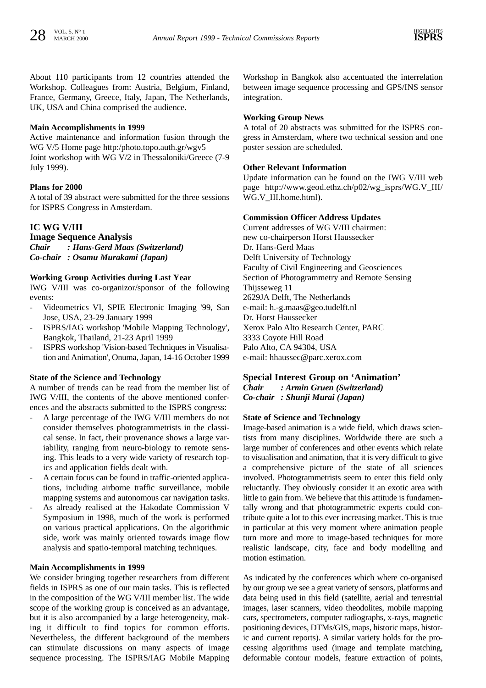About 110 participants from 12 countries attended the Workshop. Colleagues from: Austria, Belgium, Finland, France, Germany, Greece, Italy, Japan, The Netherlands, UK, USA and China comprised the audience.

# **Main Accomplishments in 1999**

Active maintenance and information fusion through the WG V/5 Home page http:/photo.topo.auth.gr/wgv5 Joint workshop with WG V/2 in Thessaloniki/Greece (7-9 July 1999).

# **Plans for 2000**

A total of 39 abstract were submitted for the three sessions for ISPRS Congress in Amsterdam.

# **IC WG V/III**

**Image Sequence Analysis** *Chair : Hans-Gerd Maas (Switzerland) Co-chair : Osamu Murakami (Japan)*

# **Working Group Activities during Last Year**

IWG V/III was co-organizor/sponsor of the following events:

- Videometrics VI, SPIE Electronic Imaging '99, San Jose, USA, 23-29 January 1999
- ISPRS/IAG workshop 'Mobile Mapping Technology', Bangkok, Thailand, 21-23 April 1999
- ISPRS workshop 'Vision-based Techniques in Visualisation and Animation', Onuma, Japan, 14-16 October 1999

#### **State of the Science and Technology**

A number of trends can be read from the member list of IWG V/III, the contents of the above mentioned conferences and the abstracts submitted to the ISPRS congress:

- A large percentage of the IWG V/III members do not consider themselves photogrammetrists in the classical sense. In fact, their provenance shows a large variability, ranging from neuro-biology to remote sensing. This leads to a very wide variety of research topics and application fields dealt with.
- A certain focus can be found in traffic-oriented applications, including airborne traffic surveillance, mobile mapping systems and autonomous car navigation tasks.
- As already realised at the Hakodate Commission V Symposium in 1998, much of the work is performed on various practical applications. On the algorithmic side, work was mainly oriented towards image flow analysis and spatio-temporal matching techniques.

#### **Main Accomplishments in 1999**

We consider bringing together researchers from different fields in ISPRS as one of our main tasks. This is reflected in the composition of the WG V/III member list. The wide scope of the working group is conceived as an advantage, but it is also accompanied by a large heterogeneity, making it difficult to find topics for common efforts. Nevertheless, the different background of the members can stimulate discussions on many aspects of image sequence processing. The ISPRS/IAG Mobile Mapping

Workshop in Bangkok also accentuated the interrelation between image sequence processing and GPS/INS sensor integration.

#### **Working Group News**

A total of 20 abstracts was submitted for the ISPRS congress in Amsterdam, where two technical session and one poster session are scheduled.

#### **Other Relevant Information**

Update information can be found on the IWG V/III web page http://www.geod.ethz.ch/p02/wg\_isprs/WG.V\_III/ WG.V III.home.html).

#### **Commission Officer Address Updates**

Current addresses of WG V/III chairmen: new co-chairperson Horst Haussecker Dr. Hans-Gerd Maas Delft University of Technology Faculty of Civil Engineering and Geosciences Section of Photogrammetry and Remote Sensing Thijsseweg 11 2629JA Delft, The Netherlands e-mail: h.-g.maas@geo.tudelft.nl Dr. Horst Haussecker Xerox Palo Alto Research Center, PARC 3333 Coyote Hill Road Palo Alto, CA 94304, USA e-mail: hhaussec@parc.xerox.com

# **Special Interest Group on 'Animation'**

*Chair : Armin Gruen (Switzerland)*

*Co-chair : Shunji Murai (Japan)*

#### **State of Science and Technology**

Image-based animation is a wide field, which draws scientists from many disciplines. Worldwide there are such a large number of conferences and other events which relate to visualisation and animation, that it is very difficult to give a comprehensive picture of the state of all sciences involved. Photogrammetrists seem to enter this field only reluctantly. They obviously consider it an exotic area with little to gain from. We believe that this attitude is fundamentally wrong and that photogrammetric experts could contribute quite a lot to this ever increasing market. This is true in particular at this very moment where animation people turn more and more to image-based techniques for more realistic landscape, city, face and body modelling and motion estimation.

As indicated by the conferences which where co-organised by our group we see a great variety of sensors, platforms and data being used in this field (satellite, aerial and terrestrial images, laser scanners, video theodolites, mobile mapping cars, spectrometers, computer radiographs, x-rays, magnetic positioning devices, DTMs/GIS, maps, historic maps, historic and current reports). A similar variety holds for the processing algorithms used (image and template matching, deformable contour models, feature extraction of points,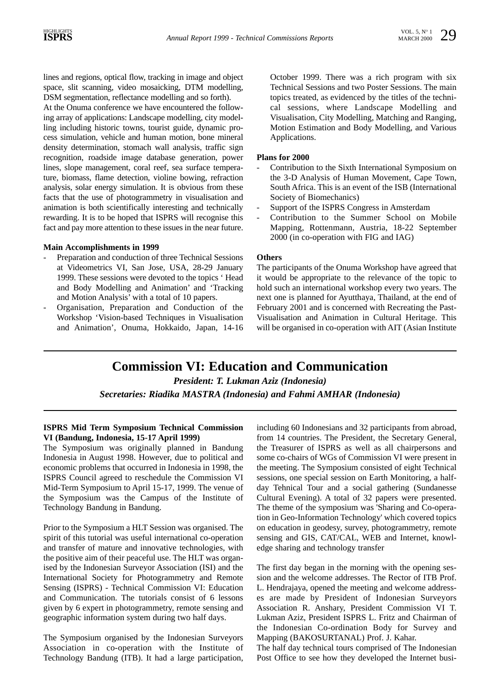lines and regions, optical flow, tracking in image and object space, slit scanning, video mosaicking, DTM modelling, DSM segmentation, reflectance modelling and so forth).

At the Onuma conference we have encountered the following array of applications: Landscape modelling, city modelling including historic towns, tourist guide, dynamic process simulation, vehicle and human motion, bone mineral density determination, stomach wall analysis, traffic sign recognition, roadside image database generation, power lines, slope management, coral reef, sea surface temperature, biomass, flame detection, violine bowing, refraction analysis, solar energy simulation. It is obvious from these facts that the use of photogrammetry in visualisation and animation is both scientifically interesting and technically rewarding. It is to be hoped that ISPRS will recognise this fact and pay more attention to these issues in the near future.

#### **Main Accomplishments in 1999**

- Preparation and conduction of three Technical Sessions at Videometrics VI, San Jose, USA, 28-29 January 1999. These sessions were devoted to the topics ' Head and Body Modelling and Animation' and 'Tracking and Motion Analysis' with a total of 10 papers.
- Organisation, Preparation and Conduction of the Workshop 'Vision-based Techniques in Visualisation and Animation', Onuma, Hokkaido, Japan, 14-16

October 1999. There was a rich program with six Technical Sessions and two Poster Sessions. The main topics treated, as evidenced by the titles of the technical sessions, where Landscape Modelling and Visualisation, City Modelling, Matching and Ranging, Motion Estimation and Body Modelling, and Various Applications.

#### **Plans for 2000**

- Contribution to the Sixth International Symposium on the 3-D Analysis of Human Movement, Cape Town, South Africa. This is an event of the ISB (International Society of Biomechanics)
- Support of the ISPRS Congress in Amsterdam
- Contribution to the Summer School on Mobile Mapping, Rottenmann, Austria, 18-22 September 2000 (in co-operation with FIG and IAG)

#### **Others**

The participants of the Onuma Workshop have agreed that it would be appropriate to the relevance of the topic to hold such an international workshop every two years. The next one is planned for Ayutthaya, Thailand, at the end of February 2001 and is concerned with Recreating the Past-Visualisation and Animation in Cultural Heritage. This will be organised in co-operation with AIT (Asian Institute

# **Commission VI: Education and Communication**

*President: T. Lukman Aziz (Indonesia)*

*Secretaries: Riadika MASTRA (Indonesia) and Fahmi AMHAR (Indonesia)*

#### **ISPRS Mid Term Symposium Technical Commission VI (Bandung, Indonesia, 15-17 April 1999)**

The Symposium was originally planned in Bandung Indonesia in August 1998. However, due to political and economic problems that occurred in Indonesia in 1998, the ISPRS Council agreed to reschedule the Commission VI Mid-Term Symposium to April 15-17, 1999. The venue of the Symposium was the Campus of the Institute of Technology Bandung in Bandung.

Prior to the Symposium a HLT Session was organised. The spirit of this tutorial was useful international co-operation and transfer of mature and innovative technologies, with the positive aim of their peaceful use. The HLT was organised by the Indonesian Surveyor Association (ISI) and the International Society for Photogrammetry and Remote Sensing (ISPRS) - Technical Commission VI: Education and Communication. The tutorials consist of 6 lessons given by 6 expert in photogrammetry, remote sensing and geographic information system during two half days.

The Symposium organised by the Indonesian Surveyors Association in co-operation with the Institute of Technology Bandung (ITB). It had a large participation,

including 60 Indonesians and 32 participants from abroad, from 14 countries. The President, the Secretary General, the Treasurer of ISPRS as well as all chairpersons and some co-chairs of WGs of Commission VI were present in the meeting. The Symposium consisted of eight Technical sessions, one special session on Earth Monitoring, a halfday Tehnical Tour and a social gathering (Sundanesse Cultural Evening). A total of 32 papers were presented. The theme of the symposium was 'Sharing and Co-operation in Geo-Information Technology' which covered topics on education in geodesy, survey, photogrammetry, remote sensing and GIS, CAT/CAL, WEB and Internet, knowledge sharing and technology transfer

The first day began in the morning with the opening session and the welcome addresses. The Rector of ITB Prof. L. Hendrajaya, opened the meeting and welcome addresses are made by President of Indonesian Surveyors Association R. Anshary, President Commission VI T. Lukman Aziz, President ISPRS L. Fritz and Chairman of the Indonesian Co-ordination Body for Survey and Mapping (BAKOSURTANAL) Prof. J. Kahar.

The half day technical tours comprised of The Indonesian Post Office to see how they developed the Internet busi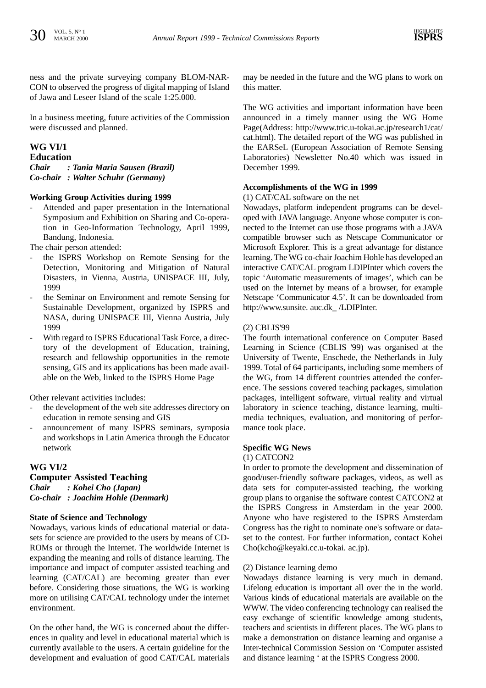ness and the private surveying company BLOM-NAR-CON to observed the progress of digital mapping of Island of Jawa and Leseer Island of the scale 1:25.000.

In a business meeting, future activities of the Commission were discussed and planned.

# **WG VI/1**

**Education** *Chair : Tania Maria Sausen (Brazil) Co-chair : Walter Schuhr (Germany)*

#### **Working Group Activities during 1999**

Attended and paper presentation in the International Symposium and Exhibition on Sharing and Co-operation in Geo-Information Technology, April 1999, Bandung, Indonesia.

The chair person attended:

- the ISPRS Workshop on Remote Sensing for the Detection, Monitoring and Mitigation of Natural Disasters, in Vienna, Austria, UNISPACE III, July, 1999
- the Seminar on Environment and remote Sensing for Sustainable Development, organized by ISPRS and NASA, during UNISPACE III, Vienna Austria, July 1999
- With regard to ISPRS Educational Task Force, a directory of the development of Education, training, research and fellowship opportunities in the remote sensing, GIS and its applications has been made available on the Web, linked to the ISPRS Home Page

Other relevant activities includes:

- the development of the web site addresses directory on education in remote sensing and GIS
- announcement of many ISPRS seminars, symposia and workshops in Latin America through the Educator network

# **WG VI/2**

#### **Computer Assisted Teaching**

*Chair : Kohei Cho (Japan) Co-chair : Joachim Hohle (Denmark)*

#### **State of Science and Technology**

Nowadays, various kinds of educational material or datasets for science are provided to the users by means of CD-ROMs or through the Internet. The worldwide Internet is expanding the meaning and rolls of distance learning. The importance and impact of computer assisted teaching and learning (CAT/CAL) are becoming greater than ever before. Considering those situations, the WG is working more on utilising CAT/CAL technology under the internet environment.

On the other hand, the WG is concerned about the differences in quality and level in educational material which is currently available to the users. A certain guideline for the development and evaluation of good CAT/CAL materials

may be needed in the future and the WG plans to work on this matter.

The WG activities and important information have been announced in a timely manner using the WG Home Page(Address: http://www.tric.u-tokai.ac.jp/research1/cat/ cat.html). The detailed report of the WG was published in the EARSeL (European Association of Remote Sensing Laboratories) Newsletter No.40 which was issued in December 1999.

#### **Accomplishments of the WG in 1999**

(1) CAT/CAL software on the net

Nowadays, platform independent programs can be developed with JAVA language. Anyone whose computer is connected to the Internet can use those programs with a JAVA compatible browser such as Netscape Communicator or Microsoft Explorer. This is a great advantage for distance learning. The WG co-chair Joachim Hohle has developed an interactive CAT/CAL program LDIPInter which covers the topic 'Automatic measurements of images', which can be used on the Internet by means of a browser, for example Netscape 'Communicator 4.5'. It can be downloaded from http://www.sunsite. auc.dk\_ /LDIPInter.

#### (2) CBLIS'99

The fourth international conference on Computer Based Learning in Science (CBLIS '99) was organised at the University of Twente, Enschede, the Netherlands in July 1999. Total of 64 participants, including some members of the WG, from 14 different countries attended the conference. The sessions covered teaching packages, simulation packages, intelligent software, virtual reality and virtual laboratory in science teaching, distance learning, multimedia techniques, evaluation, and monitoring of performance took place.

#### **Specific WG News**

#### (1) CATCON2

In order to promote the development and dissemination of good/user-friendly software packages, videos, as well as data sets for computer-assisted teaching, the working group plans to organise the software contest CATCON2 at the ISPRS Congress in Amsterdam in the year 2000. Anyone who have registered to the ISPRS Amsterdam Congress has the right to nominate one's software or dataset to the contest. For further information, contact Kohei Cho(kcho@keyaki.cc.u-tokai. ac.jp).

#### (2) Distance learning demo

Nowadays distance learning is very much in demand. Lifelong education is important all over the in the world. Various kinds of educational materials are available on the WWW. The video conferencing technology can realised the easy exchange of scientific knowledge among students, teachers and scientists in different places. The WG plans to make a demonstration on distance learning and organise a Inter-technical Commission Session on 'Computer assisted and distance learning ' at the ISPRS Congress 2000.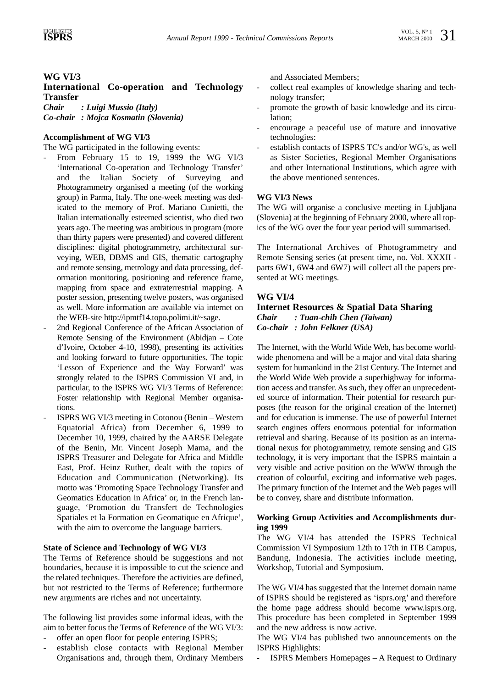# **WG VI/3**

# **International Co-operation and Technology Transfer**

*Chair : Luigi Mussio (Italy)*

*Co-chair : Mojca Kosmatin (Slovenia)*

#### **Accomplishment of WG VI/3**

The WG participated in the following events:

- From February 15 to 19, 1999 the WG VI/3 'International Co-operation and Technology Transfer' and the Italian Society of Surveying and Photogrammetry organised a meeting (of the working group) in Parma, Italy. The one-week meeting was dedicated to the memory of Prof. Mariano Cunietti, the Italian internationally esteemed scientist, who died two years ago. The meeting was ambitious in program (more than thirty papers were presented) and covered different disciplines: digital photogrammetry, architectural surveying, WEB, DBMS and GIS, thematic cartography and remote sensing, metrology and data processing, deformation monitoring, positioning and reference frame, mapping from space and extraterrestrial mapping. A poster session, presenting twelve posters, was organised as well. More information are available via internet on the WEB-site http://ipmtf14.topo.polimi.it/~sage.
- 2nd Regional Conference of the African Association of Remote Sensing of the Environment (Abidjan – Cote d'Ivoire, October 4-10, 1998), presenting its activities and looking forward to future opportunities. The topic 'Lesson of Experience and the Way Forward' was strongly related to the ISPRS Commission VI and, in particular, to the ISPRS WG VI/3 Terms of Reference: Foster relationship with Regional Member organisations.
- ISPRS WG VI/3 meeting in Cotonou (Benin Western Equatorial Africa) from December 6, 1999 to December 10, 1999, chaired by the AARSE Delegate of the Benin, Mr. Vincent Joseph Mama, and the ISPRS Treasurer and Delegate for Africa and Middle East, Prof. Heinz Ruther, dealt with the topics of Education and Communication (Networking). Its motto was 'Promoting Space Technology Transfer and Geomatics Education in Africa' or, in the French language, 'Promotion du Transfert de Technologies Spatiales et la Formation en Geomatique en Afrique', with the aim to overcome the language barriers.

#### **State of Science and Technology of WG VI/3**

The Terms of Reference should be suggestions and not boundaries, because it is impossible to cut the science and the related techniques. Therefore the activities are defined, but not restricted to the Terms of Reference; furthermore new arguments are riches and not uncertainty.

The following list provides some informal ideas, with the aim to better focus the Terms of Reference of the WG VI/3:

- offer an open floor for people entering ISPRS;
- establish close contacts with Regional Member Organisations and, through them, Ordinary Members

and Associated Members;

- collect real examples of knowledge sharing and technology transfer;
- promote the growth of basic knowledge and its circulation;
- encourage a peaceful use of mature and innovative technologies:
- establish contacts of ISPRS TC's and/or WG's, as well as Sister Societies, Regional Member Organisations and other International Institutions, which agree with the above mentioned sentences.

# **WG VI/3 News**

The WG will organise a conclusive meeting in Ljubljana (Slovenia) at the beginning of February 2000, where all topics of the WG over the four year period will summarised.

The International Archives of Photogrammetry and Remote Sensing series (at present time, no. Vol. XXXII parts 6W1, 6W4 and 6W7) will collect all the papers presented at WG meetings.

# **WG VI/4**

#### **Internet Resources & Spatial Data Sharing** *Chair : Tuan-chih Chen (Taiwan) Co-chair : John Felkner (USA)*

The Internet, with the World Wide Web, has become worldwide phenomena and will be a major and vital data sharing system for humankind in the 21st Century. The Internet and the World Wide Web provide a superhighway for information access and transfer. As such, they offer an unprecedented source of information. Their potential for research purposes (the reason for the original creation of the Internet) and for education is immense. The use of powerful Internet search engines offers enormous potential for information retrieval and sharing. Because of its position as an international nexus for photogrammetry, remote sensing and GIS technology, it is very important that the ISPRS maintain a very visible and active position on the WWW through the creation of colourful, exciting and informative web pages. The primary function of the Internet and the Web pages will be to convey, share and distribute information.

#### **Working Group Activities and Accomplishments during 1999**

The WG VI/4 has attended the ISPRS Technical Commission VI Symposium 12th to 17th in ITB Campus, Bandung, Indonesia. The activities include meeting, Workshop, Tutorial and Symposium.

The WG VI/4 has suggested that the Internet domain name of ISPRS should be registered as 'isprs.org' and therefore the home page address should become www.isprs.org. This procedure has been completed in September 1999 and the new address is now active.

The WG VI/4 has published two announcements on the ISPRS Highlights:

ISPRS Members Homepages – A Request to Ordinary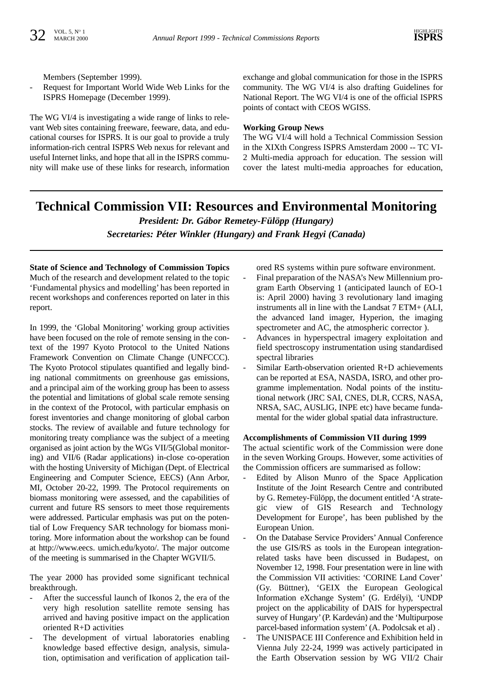Members (September 1999).

Request for Important World Wide Web Links for the ISPRS Homepage (December 1999).

The WG VI/4 is investigating a wide range of links to relevant Web sites containing freeware, feeware, data, and educational courses for ISPRS. It is our goal to provide a truly information-rich central ISPRS Web nexus for relevant and useful Internet links, and hope that all in the ISPRS community will make use of these links for research, information exchange and global communication for those in the ISPRS community. The WG VI/4 is also drafting Guidelines for National Report. The WG VI/4 is one of the official ISPRS points of contact with CEOS WGISS.

#### **Working Group News**

The WG VI/4 will hold a Technical Commission Session in the XIXth Congress ISPRS Amsterdam 2000 -- TC VI-2 Multi-media approach for education. The session will cover the latest multi-media approaches for education,

# **Technical Commission VII: Resources and Environmental Monitoring**

*President: Dr. Gábor Remetey-Fülöpp (Hungary) Secretaries: Péter Winkler (Hungary) and Frank Hegyi (Canada)*

# **State of Science and Technology of Commission Topics**

Much of the research and development related to the topic 'Fundamental physics and modelling' has been reported in recent workshops and conferences reported on later in this report.

In 1999, the 'Global Monitoring' working group activities have been focused on the role of remote sensing in the context of the 1997 Kyoto Protocol to the United Nations Framework Convention on Climate Change (UNFCCC). The Kyoto Protocol stipulates quantified and legally binding national commitments on greenhouse gas emissions, and a principal aim of the working group has been to assess the potential and limitations of global scale remote sensing in the context of the Protocol, with particular emphasis on forest inventories and change monitoring of global carbon stocks. The review of available and future technology for monitoring treaty compliance was the subject of a meeting organised as joint action by the WGs VII/5(Global monitoring) and VII/6 (Radar applications) in-close co-operation with the hosting University of Michigan (Dept. of Electrical Engineering and Computer Science, EECS) (Ann Arbor, MI, October 20-22, 1999. The Protocol requirements on biomass monitoring were assessed, and the capabilities of current and future RS sensors to meet those requirements were addressed. Particular emphasis was put on the potential of Low Frequency SAR technology for biomass monitoring. More information about the workshop can be found at http://www.eecs. umich.edu/kyoto/. The major outcome of the meeting is summarised in the Chapter WGVII/5.

The year 2000 has provided some significant technical breakthrough.

- After the successful launch of Ikonos 2, the era of the very high resolution satellite remote sensing has arrived and having positive impact on the application oriented R+D activities
- The development of virtual laboratories enabling knowledge based effective design, analysis, simulation, optimisation and verification of application tail-

ored RS systems within pure software environment.

- Final preparation of the NASA's New Millennium program Earth Observing 1 (anticipated launch of EO-1 is: April 2000) having 3 revolutionary land imaging instruments all in line with the Landsat 7 ETM+ (ALI, the advanced land imager, Hyperion, the imaging spectrometer and AC, the atmospheric corrector ).
- Advances in hyperspectral imagery exploitation and field spectroscopy instrumentation using standardised spectral libraries
- Similar Earth-observation oriented R+D achievements can be reported at ESA, NASDA, ISRO, and other programme implementation. Nodal points of the institutional network (JRC SAI, CNES, DLR, CCRS, NASA, NRSA, SAC, AUSLIG, INPE etc) have became fundamental for the wider global spatial data infrastructure.

#### **Accomplishments of Commission VII during 1999**

The actual scientific work of the Commission were done in the seven Working Groups. However, some activities of the Commission officers are summarised as follow:

- Edited by Alison Munro of the Space Application Institute of the Joint Research Centre and contributed by G. Remetey-Fülöpp, the document entitled 'A strategic view of GIS Research and Technology Development for Europe', has been published by the European Union.
- On the Database Service Providers' Annual Conference the use GIS/RS as tools in the European integrationrelated tasks have been discussed in Budapest, on November 12, 1998. Four presentation were in line with the Commission VII activities: 'CORINE Land Cover' (Gy. Büttner), 'GEIX the European Geological Information eXchange System' (G. Erdélyi), 'UNDP project on the applicability of DAIS for hyperspectral survey of Hungary' (P. Kardeván) and the 'Multipurpose parcel-based information system' (A. Podolcsak et al) .
- The UNISPACE III Conference and Exhibition held in Vienna July 22-24, 1999 was actively participated in the Earth Observation session by WG VII/2 Chair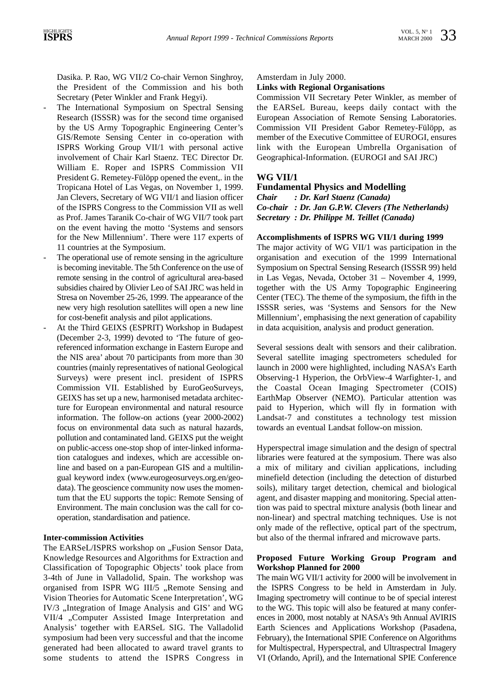Dasika. P. Rao, WG VII/2 Co-chair Vernon Singhroy, the President of the Commission and his both Secretary (Peter Winkler and Frank Hegyi).

- The International Symposium on Spectral Sensing Research (ISSSR) was for the second time organised by the US Army Topographic Engineering Center's GIS/Remote Sensing Center in co-operation with ISPRS Working Group VII/1 with personal active involvement of Chair Karl Staenz. TEC Director Dr. William E. Roper and ISPRS Commission VII President G. Remetey-Fülöpp opened the event,. in the Tropicana Hotel of Las Vegas, on November 1, 1999. Jan Clevers, Secretary of WG VII/1 and liasion officer of the ISPRS Congress to the Commission VII as well as Prof. James Taranik Co-chair of WG VII/7 took part on the event having the motto 'Systems and sensors for the New Millennium'. There were 117 experts of 11 countries at the Symposium.
- The operational use of remote sensing in the agriculture is becoming inevitable. The 5th Conference on the use of remote sensing in the control of agricultural area-based subsidies chaired by Olivier Leo of SAI JRC was held in Stresa on November 25-26, 1999. The appearance of the new very high resolution satellites will open a new line for cost-benefit analysis and pilot applications.
- At the Third GEIXS (ESPRIT) Workshop in Budapest (December 2-3, 1999) devoted to 'The future of georeferenced information exchange in Eastern Europe and the NIS area' about 70 participants from more than 30 countries (mainly representatives of national Geological Surveys) were present incl. president of ISPRS Commission VII. Established by EuroGeoSurveys, GEIXS has set up a new, harmonised metadata architecture for European environmental and natural resource information. The follow-on actions (year 2000-2002) focus on environmental data such as natural hazards, pollution and contaminated land. GEIXS put the weight on public-access one-stop shop of inter-linked information catalogues and indexes, which are accessible online and based on a pan-European GIS and a multilingual keyword index (www.eurogeosurveys.org.en/geodata). The geoscience community now uses the momentum that the EU supports the topic: Remote Sensing of Environment. The main conclusion was the call for cooperation, standardisation and patience.

#### **Inter-commission Activities**

The EARSeL/ISPRS workshop on "Fusion Sensor Data, Knowledge Resources and Algorithms for Extraction and Classification of Topographic Objects' took place from 3-4th of June in Valladolid, Spain. The workshop was organised from ISPR WG III/5 "Remote Sensing and Vision Theories for Automatic Scene Interpretation', WG IV/3 "Integration of Image Analysis and GIS' and WG VII/4 "Computer Assisted Image Interpretation and Analysis' together with EARSeL SIG. The Valladolid symposium had been very successful and that the income generated had been allocated to award travel grants to some students to attend the ISPRS Congress in

#### Amsterdam in July 2000.

#### **Links with Regional Organisations**

Commission VII Secretary Peter Winkler, as member of the EARSeL Bureau, keeps daily contact with the European Association of Remote Sensing Laboratories. Commission VII President Gabor Remetey-Fülöpp, as member of the Executive Committee of EUROGI, ensures link with the European Umbrella Organisation of Geographical-Information. (EUROGI and SAI JRC)

# **WG VII/1**

#### **Fundamental Physics and Modelling**

*Chair : Dr. Karl Staenz (Canada) Co-chair : Dr. Jan G.P.W. Clevers (The Netherlands) Secretary : Dr. Philippe M. Teillet (Canada)*

#### **Accomplishments of ISPRS WG VII/1 during 1999**

The major activity of WG VII/1 was participation in the organisation and execution of the 1999 International Symposium on Spectral Sensing Research (ISSSR 99) held in Las Vegas, Nevada, October 31 – November 4, 1999, together with the US Army Topographic Engineering Center (TEC). The theme of the symposium, the fifth in the ISSSR series, was 'Systems and Sensors for the New Millennium', emphasising the next generation of capability in data acquisition, analysis and product generation.

Several sessions dealt with sensors and their calibration. Several satellite imaging spectrometers scheduled for launch in 2000 were highlighted, including NASA's Earth Observing-1 Hyperion, the OrbView-4 Warfighter-1, and the Coastal Ocean Imaging Spectrometer (COIS) EarthMap Observer (NEMO). Particular attention was paid to Hyperion, which will fly in formation with Landsat-7 and constitutes a technology test mission towards an eventual Landsat follow-on mission.

Hyperspectral image simulation and the design of spectral libraries were featured at the symposium. There was also a mix of military and civilian applications, including minefield detection (including the detection of disturbed soils), military target detection, chemical and biological agent, and disaster mapping and monitoring. Special attention was paid to spectral mixture analysis (both linear and non-linear) and spectral matching techniques. Use is not only made of the reflective, optical part of the spectrum, but also of the thermal infrared and microwave parts.

#### **Proposed Future Working Group Program and Workshop Planned for 2000**

The main WG VII/1 activity for 2000 will be involvement in the ISPRS Congress to be held in Amsterdam in July. Imaging spectrometry will continue to be of special interest to the WG. This topic will also be featured at many conferences in 2000, most notably at NASA's 9th Annual AVIRIS Earth Sciences and Applications Workshop (Pasadena, February), the International SPIE Conference on Algorithms for Multispectral, Hyperspectral, and Ultraspectral Imagery VI (Orlando, April), and the International SPIE Conference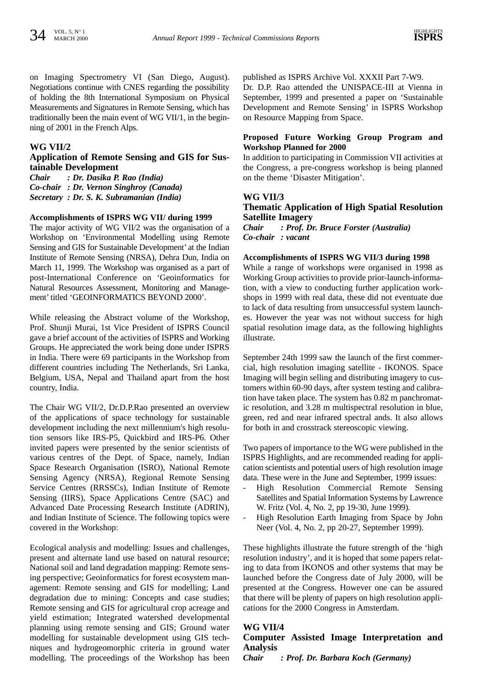on Imaging Spectrometry VI (San Diego, August). Negotiations continue with CNES regarding the possibility of holding the 8th International Symposium on Physical Measurements and Signatures in Remote Sensing, which has traditionally been the main event of WG VII/1, in the beginning of 2001 in the French Alps.

#### **WG VII/2**

#### **Application of Remote Sensing and GIS for Sustainable Development**

*Chair : Dr. Dasika P. Rao (India) Co-chair : Dr. Vernon Singhroy (Canada) Secretary : Dr. S. K. Subramanian (India)*

#### **Accomplishments of ISPRS WG VII/ during 1999**

The major activity of WG VII/2 was the organisation of a Workshop on 'Environmental Modelling using Remote Sensing and GIS for Sustainable Development' at the Indian Institute of Remote Sensing (NRSA), Dehra Dun, India on March 11, 1999. The Workshop was organised as a part of post-International Conference on 'Geoinformatics for Natural Resources Assessment, Monitoring and Management' titled 'GEOINFORMATICS BEYOND 2000'.

While releasing the Abstract volume of the Workshop, Prof. Shunji Murai, 1st Vice President of ISPRS Council gave a brief account of the activities of ISPRS and Working Groups. He appreciated the work being done under ISPRS in India. There were 69 participants in the Workshop from different countries including The Netherlands, Sri Lanka, Belgium, USA, Nepal and Thailand apart from the host country, India.

The Chair WG VII/2, Dr.D.P.Rao presented an overview of the applications of space technology for sustainable development including the next millennium's high resolution sensors like IRS-P5, Quickbird and IRS-P6. Other invited papers were presented by the senior scientists of various centres of the Dept. of Space, namely, Indian Space Research Organisation (ISRO), National Remote Sensing Agency (NRSA), Regional Remote Sensing Service Centres (RRSSCs), Indian Institute of Remote Sensing (IIRS), Space Applications Centre (SAC) and Advanced Date Processing Research Institute (ADRIN), and Indian Institute of Science. The following topics were covered in the Workshop:

Ecological analysis and modelling: Issues and challenges, present and alternate land use based on natural resource; National soil and land degradation mapping: Remote sensing perspective; Geoinformatics for forest ecosystem management: Remote sensing and GIS for modelling; Land degradation due to mining: Concepts and case studies; Remote sensing and GIS for agricultural crop acreage and yield estimation; Integrated watershed developmental planning using remote sensing and GIS; Ground water modelling for sustainable development using GIS techniques and hydrogeomorphic criteria in ground water modelling. The proceedings of the Workshop has been

published as ISPRS Archive Vol. XXXII Part 7-W9.

Dr. D.P. Rao attended the UNISPACE-III at Vienna in September, 1999 and presented a paper on 'Sustainable Development and Remote Sensing' in ISPRS Workshop on Resource Mapping from Space.

#### **Proposed Future Working Group Program and Workshop Planned for 2000**

In addition to participating in Commission VII activities at the Congress, a pre-congress workshop is being planned on the theme 'Disaster Mitigation'.

# **WG VII/3**

# **Thematic Application of High Spatial Resolution Satellite Imagery** *Chair : Prof. Dr. Bruce Forster (Australia)*

*Co-chair : vacant*

#### **Accomplishments of ISPRS WG VII/3 during 1998**

While a range of workshops were organised in 1998 as Working Group activities to provide prior-launch-information, with a view to conducting further application workshops in 1999 with real data, these did not eventuate due to lack of data resulting from unsuccessful system launches. However the year was not without success for high spatial resolution image data, as the following highlights illustrate.

September 24th 1999 saw the launch of the first commercial, high resolution imaging satellite - IKONOS. Space Imaging will begin selling and distributing imagery to customers within 60-90 days, after system testing and calibration have taken place. The system has 0.82 m panchromatic resolution, and 3.28 m multispectral resolution in blue, green, red and near infrared spectral ands. It also allows for both in and crosstrack stereoscopic viewing.

Two papers of importance to the WG were published in the ISPRS Highlights, and are recommended reading for application scientists and potential users of high resolution image data. These were in the June and September, 1999 issues:

- High Resolution Commercial Remote Sensing Satellites and Spatial Information Systems by Lawrence W. Fritz (Vol. 4, No. 2, pp 19-30, June 1999).
- High Resolution Earth Imaging from Space by John Neer (Vol. 4, No. 2, pp 20-27, September 1999).

These highlights illustrate the future strength of the 'high resolution industry', and it is hoped that some papers relating to data from IKONOS and other systems that may be launched before the Congress date of July 2000, will be presented at the Congress. However one can be assured that there will be plenty of papers on high resolution applications for the 2000 Congress in Amsterdam.

# **WG VII/4**

### **Computer Assisted Image Interpretation and Analysis**

*Chair : Prof. Dr. Barbara Koch (Germany)*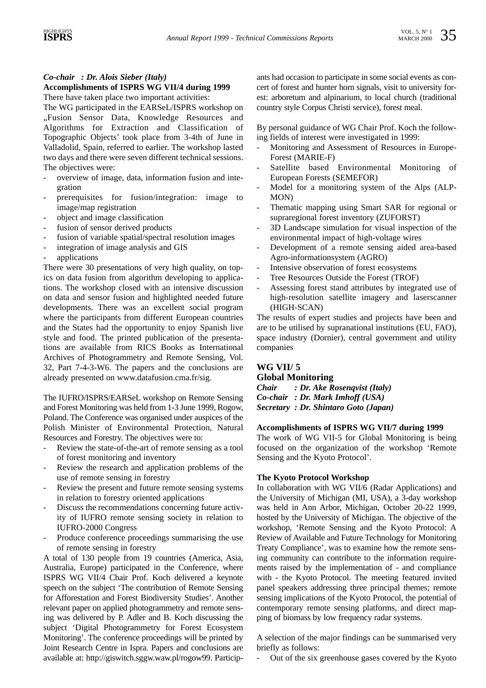# *Co-chair : Dr. Alois Sieber (Italy)*

# **Accomplishments of ISPRS WG VII/4 during 1999**

There have taken place two important activities:

The WG participated in the EARSeL/ISPRS workshop on "Fusion Sensor Data, Knowledge Resources and Algorithms for Extraction and Classification of Topographic Objects' took place from 3-4th of June in Valladolid, Spain, referred to earlier. The workshop lasted two days and there were seven different technical sessions. The objectives were:

- overview of image, data, information fusion and integration
- prerequisites for fusion/integration: image to image/map registration
- object and image classification
- fusion of sensor derived products
- fusion of variable spatial/spectral resolution images
- integration of image analysis and GIS
- applications

There were 30 presentations of very high quality, on topics on data fusion from algorithm developing to applications. The workshop closed with an intensive discussion on data and sensor fusion and highlighted needed future developments. There was an excellent social program where the participants from different European countries and the States had the opportunity to enjoy Spanish live style and food. The printed publication of the presentations are available from RICS Books as International Archives of Photogrammetry and Remote Sensing, Vol. 32, Part 7-4-3-W6. The papers and the conclusions are already presented on www.datafusion.cma.fr/sig.

The IUFRO/ISPRS/EARSeL workshop on Remote Sensing and Forest Monitoring was held from 1-3 June 1999, Rogow, Poland. The Conference was organised under auspices of the Polish Minister of Environmental Protection, Natural Resources and Forestry. The objectives were to:

- Review the state-of-the-art of remote sensing as a tool of forest monitoring and inventory
- Review the research and application problems of the use of remote sensing in forestry
- Review the present and future remote sensing systems in relation to forestry oriented applications
- Discuss the recommendations concerning future activity of IUFRO remote sensing society in relation to IUFRO-2000 Congress
- Produce conference proceedings summarising the use of remote sensing in forestry

A total of 130 people from 19 countries (America, Asia, Australia, Europe) participated in the Conference, where ISPRS WG VII/4 Chair Prof. Koch delivered a keynote speech on the subject 'The contribution of Remote Sensing for Afforestation and Forest Biodiversity Studies'. Another relevant paper on applied photogrammetry and remote sensing was delivered by P. Adler and B. Koch discussing the subject 'Digital Photogrammetry for Forest Ecosystem Monitoring'. The conference proceedings will be printed by Joint Research Centre in Ispra. Papers and conclusions are available at: http://giswitch.sggw.waw.pl/rogow99. Participants had occasion to participate in some social events as concert of forest and hunter horn signals, visit to university forest: arboretum and alpinarium, to local church (traditional country style Corpus Christi service), forest meal.

By personal guidance of WG Chair Prof. Koch the following fields of interest were investigated in 1999:

- Monitoring and Assessment of Resources in Europe-Forest (MARIE-F)
- Satellite based Environmental Monitoring of European Forests (SEMEFOR)
- Model for a monitoring system of the Alps (ALP-MON)
- Thematic mapping using Smart SAR for regional or supraregional forest inventory (ZUFORST)
- 3D Landscape simulation for visual inspection of the environmental impact of high-voltage wires
- Development of a remote sensing aided area-based Agro-informationsystem (AGRO)
- Intensive observation of forest ecosystems
- Tree Resources Outside the Forest (TROF)
- Assessing forest stand attributes by integrated use of high-resolution satellite imagery and laserscanner (HIGH-SCAN)

The results of expert studies and projects have been and are to be utilised by supranational institutions (EU, FAO), space industry (Dornier), central government and utility companies

# **WG VII/ 5 Global Monitoring**

*Chair : Dr. Ake Rosenqvist (Italy) Co-chair : Dr. Mark Imhoff (USA) Secretary : Dr. Shintaro Goto (Japan)*

#### **Accomplishments of ISPRS WG VII/7 during 1999**

The work of WG VII-5 for Global Monitoring is being focused on the organization of the workshop 'Remote Sensing and the Kyoto Protocol'.

#### **The Kyoto Protocol Workshop**

In collaboration with WG VII/6 (Radar Applications) and the University of Michigan (MI, USA), a 3-day workshop was held in Ann Arbor, Michigan, October 20-22 1999, hosted by the University of Michigan. The objective of the workshop, 'Remote Sensing and the Kyoto Protocol: A Review of Available and Future Technology for Monitoring Treaty Compliance', was to examine how the remote sensing community can contribute to the information requirements raised by the implementation of - and compliance with - the Kyoto Protocol. The meeting featured invited panel speakers addressing three principal themes; remote sensing implications of the Kyoto Protocol, the potential of contemporary remote sensing platforms, and direct mapping of biomass by low frequency radar systems.

A selection of the major findings can be summarised very briefly as follows:

- Out of the six greenhouse gases covered by the Kyoto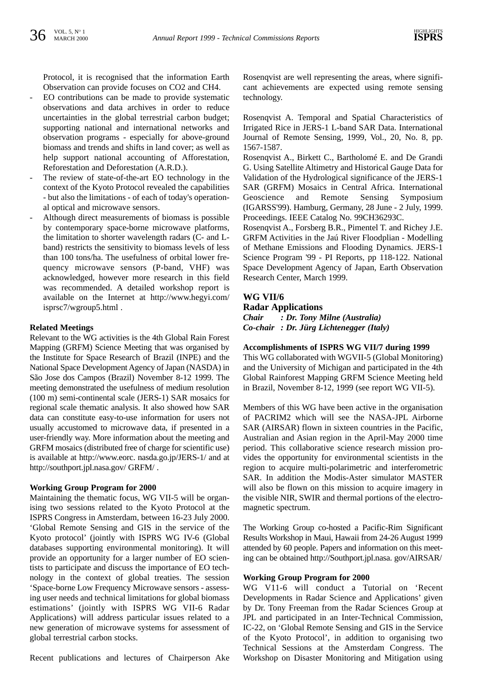Protocol, it is recognised that the information Earth Observation can provide focuses on CO2 and CH4.

- EO contributions can be made to provide systematic observations and data archives in order to reduce uncertainties in the global terrestrial carbon budget; supporting national and international networks and observation programs - especially for above-ground biomass and trends and shifts in land cover; as well as help support national accounting of Afforestation, Reforestation and Deforestation (A.R.D.).
- The review of state-of-the-art EO technology in the context of the Kyoto Protocol revealed the capabilities - but also the limitations - of each of today's operational optical and microwave sensors.
- Although direct measurements of biomass is possible by contemporary space-borne microwave platforms, the limitation to shorter wavelength radars (C- and Lband) restricts the sensitivity to biomass levels of less than 100 tons/ha. The usefulness of orbital lower frequency microwave sensors (P-band, VHF) was acknowledged, however more research in this field was recommended. A detailed workshop report is available on the Internet at http://www.hegyi.com/ isprsc7/wgroup5.html .

#### **Related Meetings**

Relevant to the WG activities is the 4th Global Rain Forest Mapping (GRFM) Science Meeting that was organised by the Institute for Space Research of Brazil (INPE) and the National Space Development Agency of Japan (NASDA) in São Jose dos Campos (Brazil) November 8-12 1999. The meeting demonstrated the usefulness of medium resolution (100 m) semi-continental scale (JERS-1) SAR mosaics for regional scale thematic analysis. It also showed how SAR data can constitute easy-to-use information for users not usually accustomed to microwave data, if presented in a user-friendly way. More information about the meeting and GRFM mosaics (distributed free of charge for scientific use) is available at http://www.eorc. nasda.go.jp/JERS-1/ and at http://southport.jpl.nasa.gov/ GRFM/ .

#### **Working Group Program for 2000**

Maintaining the thematic focus, WG VII-5 will be organising two sessions related to the Kyoto Protocol at the ISPRS Congress in Amsterdam, between 16-23 July 2000. 'Global Remote Sensing and GIS in the service of the Kyoto protocol' (jointly with ISPRS WG IV-6 (Global databases supporting environmental monitoring). It will provide an opportunity for a larger number of EO scientists to participate and discuss the importance of EO technology in the context of global treaties. The session 'Space-borne Low Frequency Microwave sensors - assessing user needs and technical limitations for global biomass estimations' (jointly with ISPRS WG VII-6 Radar Applications) will address particular issues related to a new generation of microwave systems for assessment of global terrestrial carbon stocks.

Recent publications and lectures of Chairperson Ake

Rosenqvist are well representing the areas, where significant achievements are expected using remote sensing technology.

Rosenqvist A. Temporal and Spatial Characteristics of Irrigated Rice in JERS-1 L-band SAR Data. International Journal of Remote Sensing, 1999, Vol., 20, No. 8, pp. 1567-1587.

Rosenqvist A., Birkett C., Bartholomé E. and De Grandi G. Using Satellite Altimetry and Historical Gauge Data for Validation of the Hydrological significance of the JERS-1 SAR (GRFM) Mosaics in Central Africa. International Geoscience and Remote Sensing Symposium (IGARSS'99). Hamburg, Germany, 28 June - 2 July, 1999. Proceedings. IEEE Catalog No. 99CH36293C.

Rosenqvist A., Forsberg B.R., Pimentel T. and Richey J.E. GRFM Activities in the Jaú River Floodplian - Modelling of Methane Emissions and Flooding Dynamics. JERS-1 Science Program '99 - PI Reports, pp 118-122. National Space Development Agency of Japan, Earth Observation Research Center, March 1999.

# **WG VII/6 Radar Applications**

*Chair : Dr. Tony Milne (Australia) Co-chair : Dr. Jürg Lichtenegger (Italy)*

#### **Accomplishments of ISPRS WG VII/7 during 1999**

This WG collaborated with WGVII-5 (Global Monitoring) and the University of Michigan and participated in the 4th Global Rainforest Mapping GRFM Science Meeting held in Brazil, November 8-12, 1999 (see report WG VII-5).

Members of this WG have been active in the organisation of PACRIM2 which will see the NASA-JPL Airborne SAR (AIRSAR) flown in sixteen countries in the Pacific, Australian and Asian region in the April-May 2000 time period. This collaborative science research mission provides the opportunity for environmental scientists in the region to acquire multi-polarimetric and interferometric SAR. In addition the Modis-Aster simulator MASTER will also be flown on this mission to acquire imagery in the visible NIR, SWIR and thermal portions of the electromagnetic spectrum.

The Working Group co-hosted a Pacific-Rim Significant Results Workshop in Maui, Hawaii from 24-26 August 1999 attended by 60 people. Papers and information on this meeting can be obtained http://Southport.jpl.nasa. gov/AIRSAR/

#### **Working Group Program for 2000**

WG V11-6 will conduct a Tutorial on 'Recent Developments in Radar Science and Applications' given by Dr. Tony Freeman from the Radar Sciences Group at JPL and participated in an Inter-Technical Commission, IC-22, on 'Global Remote Sensing and GIS in the Service of the Kyoto Protocol', in addition to organising two Technical Sessions at the Amsterdam Congress. The Workshop on Disaster Monitoring and Mitigation using